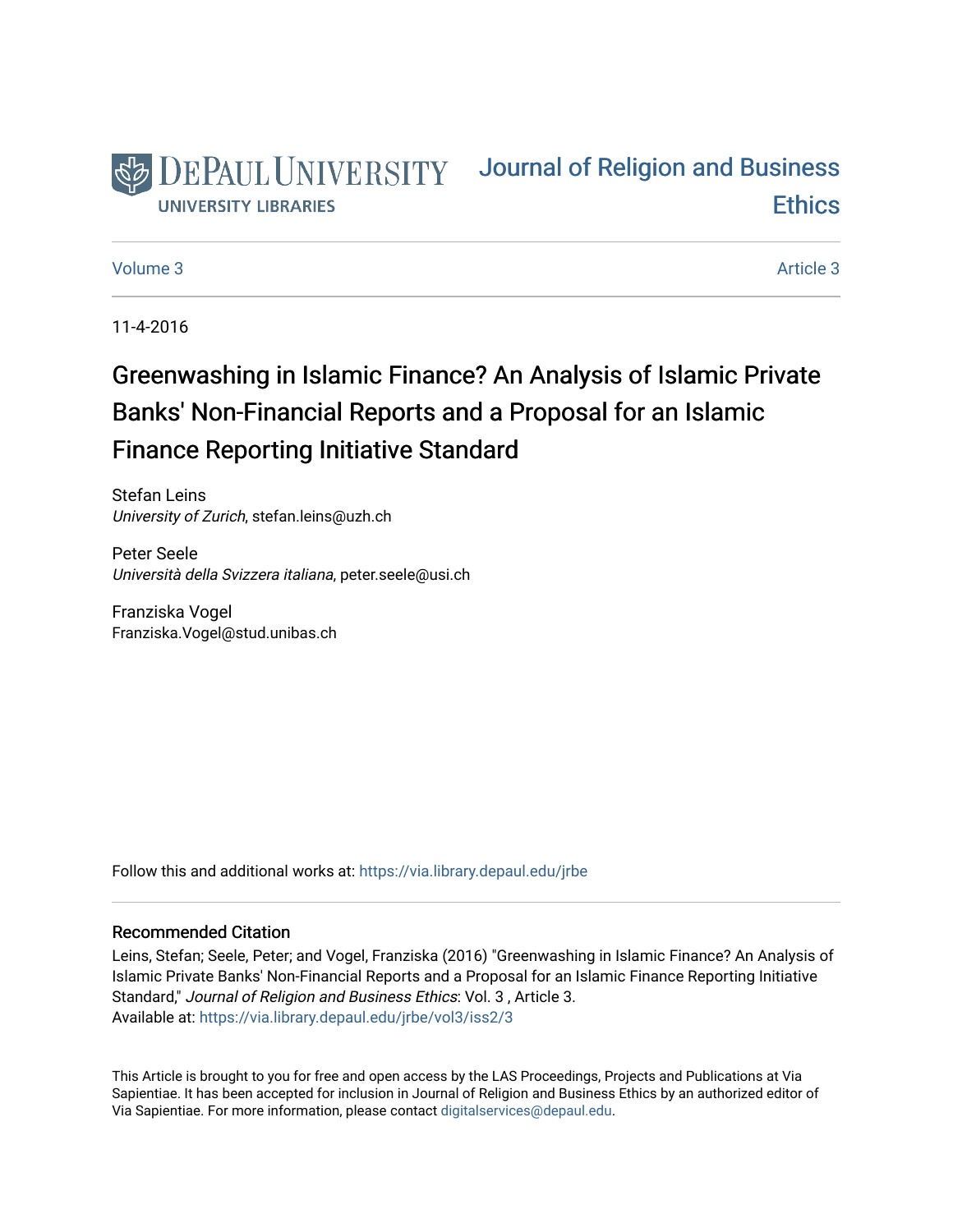

# [Journal of Religion and Business](https://via.library.depaul.edu/jrbe)  **Ethics**

#### [Volume 3](https://via.library.depaul.edu/jrbe/vol3) Article 3

11-4-2016

# Greenwashing in Islamic Finance? An Analysis of Islamic Private Banks' Non-Financial Reports and a Proposal for an Islamic Finance Reporting Initiative Standard

Stefan Leins University of Zurich, stefan.leins@uzh.ch

Peter Seele Università della Svizzera italiana, peter.seele@usi.ch

Franziska Vogel Franziska.Vogel@stud.unibas.ch

Follow this and additional works at: [https://via.library.depaul.edu/jrbe](https://via.library.depaul.edu/jrbe?utm_source=via.library.depaul.edu%2Fjrbe%2Fvol3%2Fiss2%2F3&utm_medium=PDF&utm_campaign=PDFCoverPages) 

## Recommended Citation

Leins, Stefan; Seele, Peter; and Vogel, Franziska (2016) "Greenwashing in Islamic Finance? An Analysis of Islamic Private Banks' Non-Financial Reports and a Proposal for an Islamic Finance Reporting Initiative Standard," Journal of Religion and Business Ethics: Vol. 3 , Article 3. Available at: [https://via.library.depaul.edu/jrbe/vol3/iss2/3](https://via.library.depaul.edu/jrbe/vol3/iss2/3?utm_source=via.library.depaul.edu%2Fjrbe%2Fvol3%2Fiss2%2F3&utm_medium=PDF&utm_campaign=PDFCoverPages) 

This Article is brought to you for free and open access by the LAS Proceedings, Projects and Publications at Via Sapientiae. It has been accepted for inclusion in Journal of Religion and Business Ethics by an authorized editor of Via Sapientiae. For more information, please contact [digitalservices@depaul.edu](mailto:digitalservices@depaul.edu).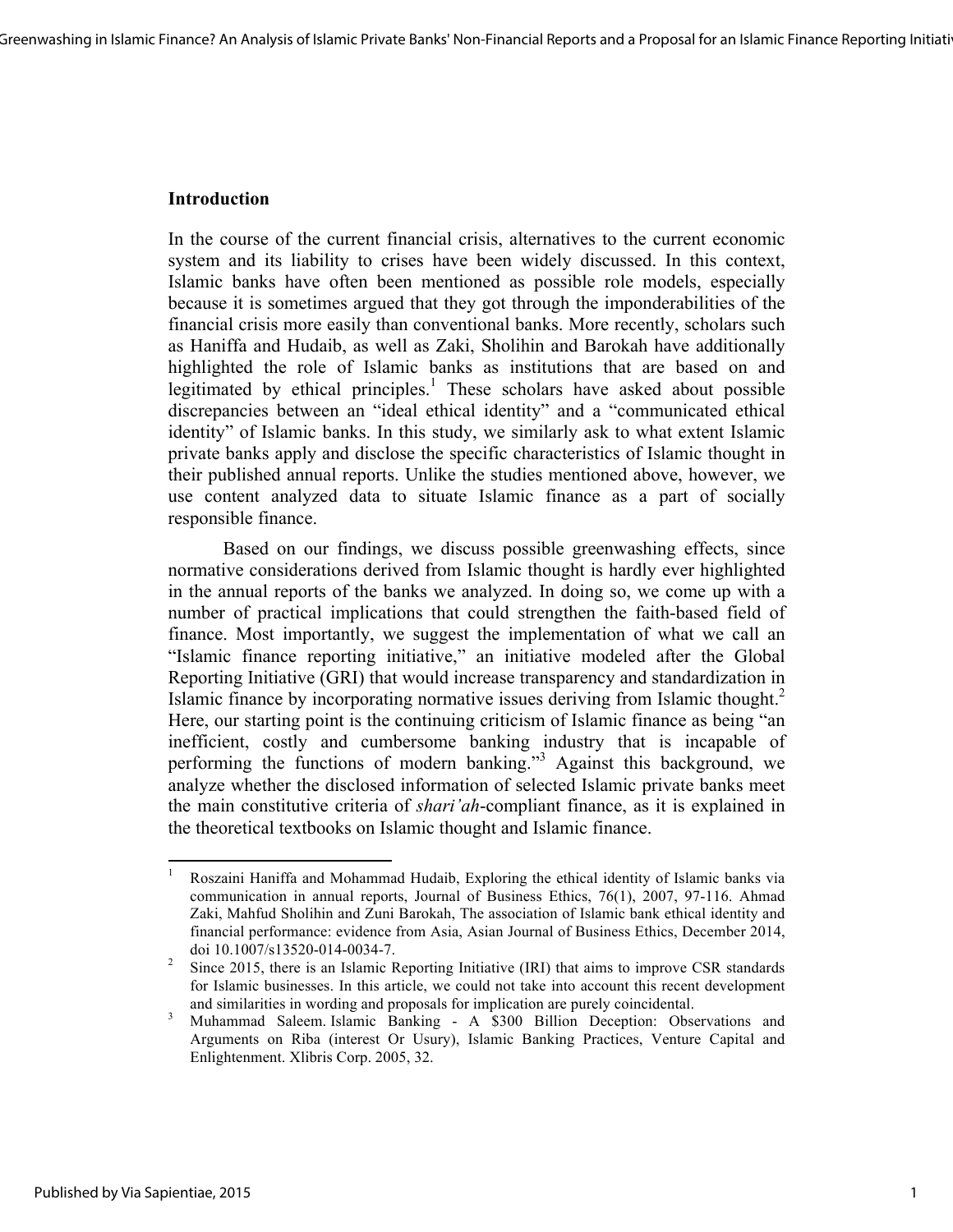# **Introduction**

<u> 1989 - Johann Stein, fransk politik (d. 1989)</u>

In the course of the current financial crisis, alternatives to the current economic system and its liability to crises have been widely discussed. In this context, Islamic banks have often been mentioned as possible role models, especially because it is sometimes argued that they got through the imponderabilities of the financial crisis more easily than conventional banks. More recently, scholars such as Haniffa and Hudaib, as well as Zaki, Sholihin and Barokah have additionally highlighted the role of Islamic banks as institutions that are based on and legitimated by ethical principles.<sup>1</sup> These scholars have asked about possible discrepancies between an "ideal ethical identity" and a "communicated ethical identity" of Islamic banks. In this study, we similarly ask to what extent Islamic private banks apply and disclose the specific characteristics of Islamic thought in their published annual reports. Unlike the studies mentioned above, however, we use content analyzed data to situate Islamic finance as a part of socially responsible finance.

Based on our findings, we discuss possible greenwashing effects, since normative considerations derived from Islamic thought is hardly ever highlighted in the annual reports of the banks we analyzed. In doing so, we come up with a number of practical implications that could strengthen the faith-based field of finance. Most importantly, we suggest the implementation of what we call an "Islamic finance reporting initiative," an initiative modeled after the Global Reporting Initiative (GRI) that would increase transparency and standardization in Islamic finance by incorporating normative issues deriving from Islamic thought.<sup>2</sup> Here, our starting point is the continuing criticism of Islamic finance as being "an inefficient, costly and cumbersome banking industry that is incapable of performing the functions of modern banking."<sup>3</sup> Against this background, we analyze whether the disclosed information of selected Islamic private banks meet the main constitutive criteria of *shari'ah*-compliant finance, as it is explained in the theoretical textbooks on Islamic thought and Islamic finance.

<sup>&</sup>lt;sup>1</sup> Roszaini Haniffa and Mohammad Hudaib, Exploring the ethical identity of Islamic banks via communication in annual reports, Journal of Business Ethics, 76(1), 2007, 97-116. Ahmad Zaki, Mahfud Sholihin and Zuni Barokah, The association of Islamic bank ethical identity and financial performance: evidence from Asia, Asian Journal of Business Ethics, December 2014,

doi 10.1007/s13520-014-0034-7.<br><sup>2</sup> Since 2015, there is an Islamic Reporting Initiative (IRI) that aims to improve CSR standards for Islamic businesses. In this article, we could not take into account this recent development

and similarities in wording and proposals for implication are purely coincidental. <sup>3</sup> Muhammad Saleem. Islamic Banking - A \$300 Billion Deception: Observations and Arguments on Riba (interest Or Usury), Islamic Banking Practices, Venture Capital and Enlightenment. Xlibris Corp. 2005, 32.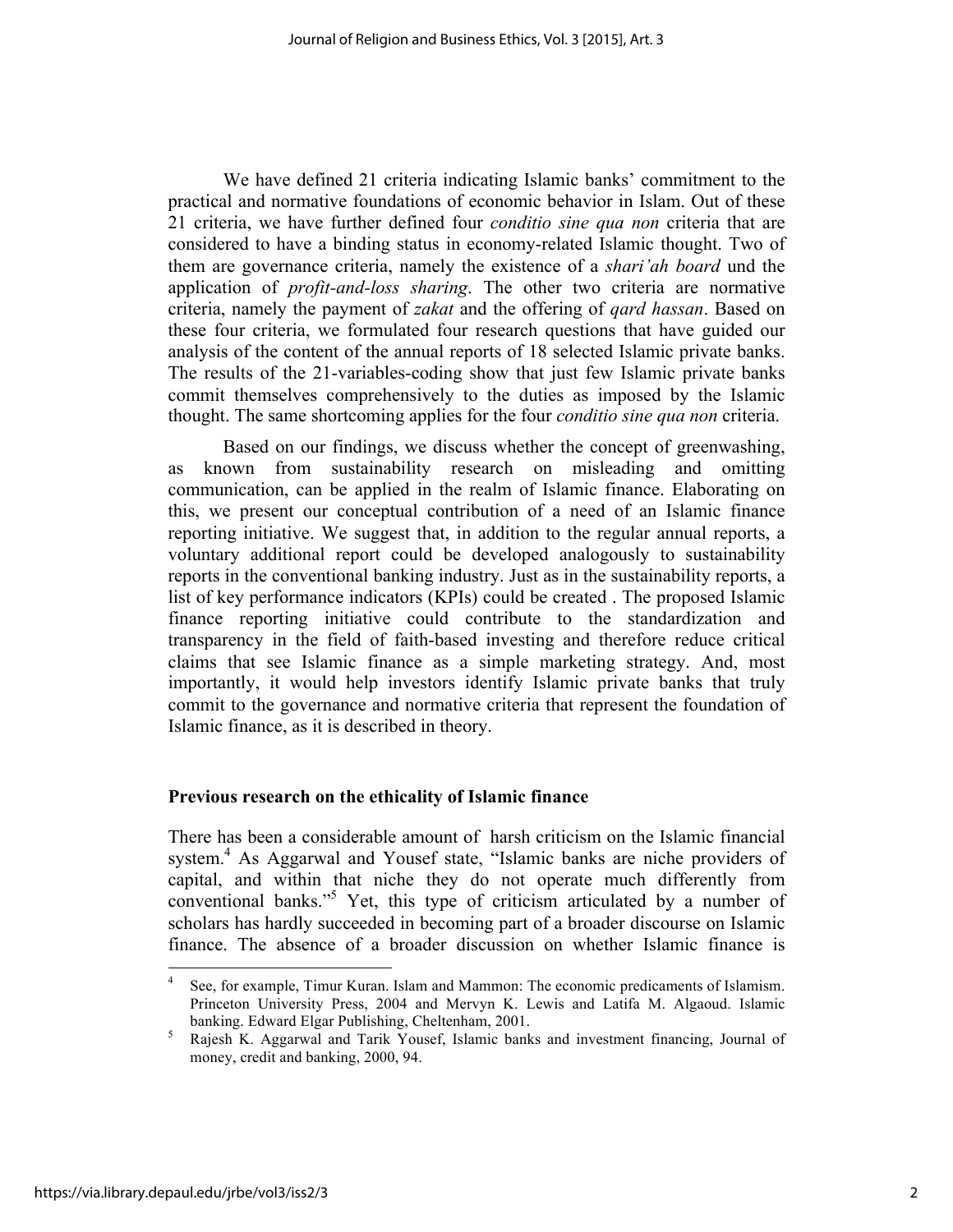We have defined 21 criteria indicating Islamic banks' commitment to the practical and normative foundations of economic behavior in Islam. Out of these 21 criteria, we have further defined four *conditio sine qua non* criteria that are considered to have a binding status in economy-related Islamic thought. Two of them are governance criteria, namely the existence of a *shari'ah board* und the application of *profit-and-loss sharing*. The other two criteria are normative criteria, namely the payment of *zakat* and the offering of *qard hassan*. Based on these four criteria, we formulated four research questions that have guided our analysis of the content of the annual reports of 18 selected Islamic private banks. The results of the 21-variables-coding show that just few Islamic private banks commit themselves comprehensively to the duties as imposed by the Islamic thought. The same shortcoming applies for the four *conditio sine qua non* criteria.

Based on our findings, we discuss whether the concept of greenwashing, as known from sustainability research on misleading and omitting communication, can be applied in the realm of Islamic finance. Elaborating on this, we present our conceptual contribution of a need of an Islamic finance reporting initiative. We suggest that, in addition to the regular annual reports, a voluntary additional report could be developed analogously to sustainability reports in the conventional banking industry. Just as in the sustainability reports, a list of key performance indicators (KPIs) could be created . The proposed Islamic finance reporting initiative could contribute to the standardization and transparency in the field of faith-based investing and therefore reduce critical claims that see Islamic finance as a simple marketing strategy. And, most importantly, it would help investors identify Islamic private banks that truly commit to the governance and normative criteria that represent the foundation of Islamic finance, as it is described in theory.

# **Previous research on the ethicality of Islamic finance**

<u> 1989 - Johann Stein, fransk politik (d. 1989)</u>

There has been a considerable amount of harsh criticism on the Islamic financial system.<sup>4</sup> As Aggarwal and Yousef state, "Islamic banks are niche providers of capital, and within that niche they do not operate much differently from conventional banks." <sup>5</sup> Yet, this type of criticism articulated by a number of scholars has hardly succeeded in becoming part of a broader discourse on Islamic finance. The absence of a broader discussion on whether Islamic finance is

See, for example, Timur Kuran. Islam and Mammon: The economic predicaments of Islamism. Princeton University Press, 2004 and Mervyn K. Lewis and Latifa M. Algaoud. Islamic banking. Edward Elgar Publishing, Cheltenham, 2001. <sup>5</sup> Rajesh K. Aggarwal and Tarik Yousef, Islamic banks and investment financing, Journal of

money, credit and banking, 2000, 94.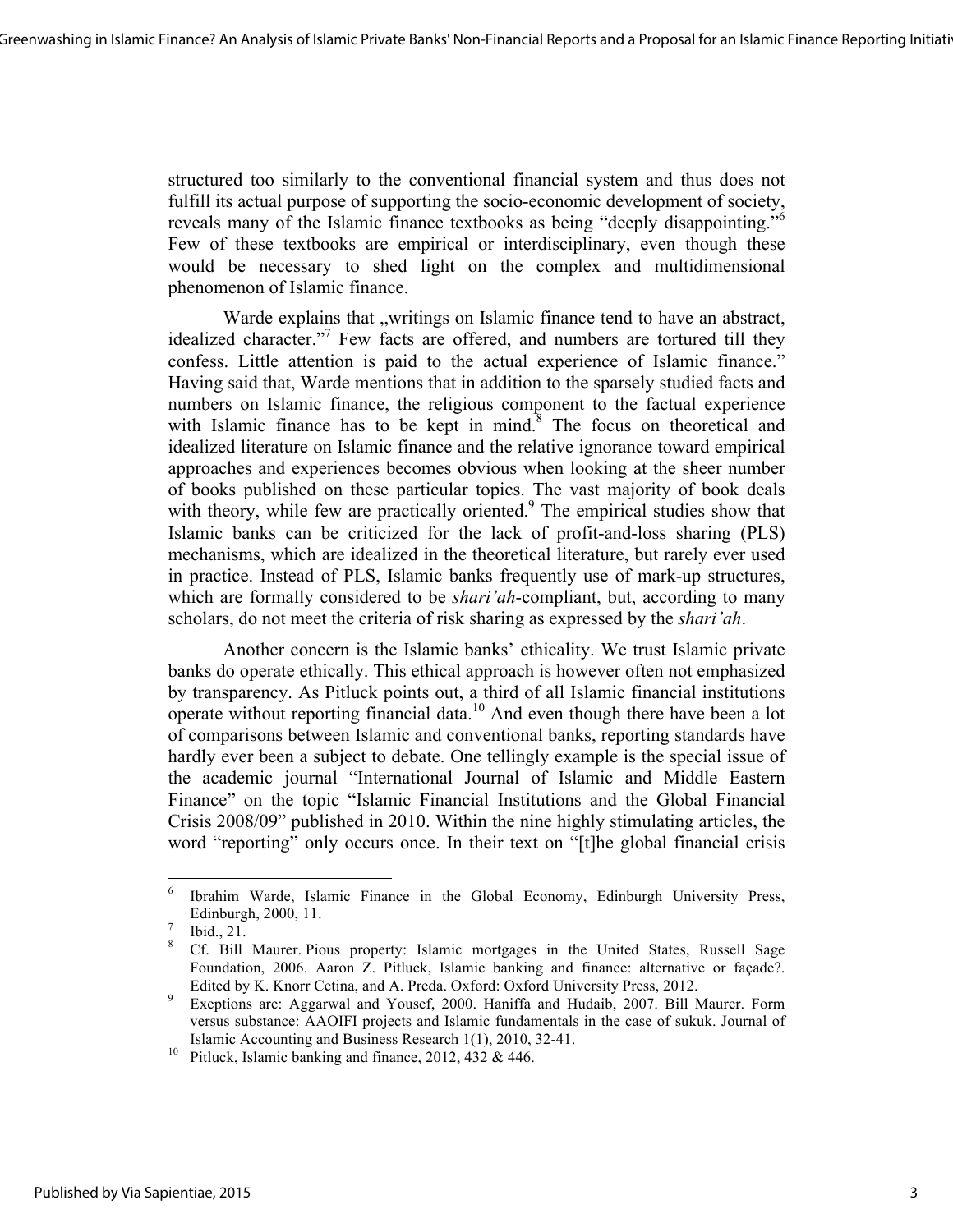structured too similarly to the conventional financial system and thus does not fulfill its actual purpose of supporting the socio-economic development of society, reveals many of the Islamic finance textbooks as being "deeply disappointing."<sup>6</sup> Few of these textbooks are empirical or interdisciplinary, even though these would be necessary to shed light on the complex and multidimensional phenomenon of Islamic finance.

Warde explains that "writings on Islamic finance tend to have an abstract, idealized character."<sup>7</sup> Few facts are offered, and numbers are tortured till they confess. Little attention is paid to the actual experience of Islamic finance." Having said that, Warde mentions that in addition to the sparsely studied facts and numbers on Islamic finance, the religious component to the factual experience with Islamic finance has to be kept in mind.<sup>8</sup> The focus on theoretical and idealized literature on Islamic finance and the relative ignorance toward empirical approaches and experiences becomes obvious when looking at the sheer number of books published on these particular topics. The vast majority of book deals with theory, while few are practically oriented.<sup>9</sup> The empirical studies show that Islamic banks can be criticized for the lack of profit-and-loss sharing (PLS) mechanisms, which are idealized in the theoretical literature, but rarely ever used in practice. Instead of PLS, Islamic banks frequently use of mark-up structures, which are formally considered to be *shari'ah*-compliant, but, according to many scholars, do not meet the criteria of risk sharing as expressed by the *shari'ah*.

Another concern is the Islamic banks' ethicality. We trust Islamic private banks do operate ethically. This ethical approach is however often not emphasized by transparency. As Pitluck points out, a third of all Islamic financial institutions operate without reporting financial data.<sup>10</sup> And even though there have been a lot of comparisons between Islamic and conventional banks, reporting standards have hardly ever been a subject to debate. One tellingly example is the special issue of the academic journal "International Journal of Islamic and Middle Eastern Finance" on the topic "Islamic Financial Institutions and the Global Financial Crisis 2008/09" published in 2010. Within the nine highly stimulating articles, the word "reporting" only occurs once. In their text on "[t]he global financial crisis

<u> 1989 - Johann Stein, fransk politik (d. 1989)</u>

<sup>6</sup> Ibrahim Warde, Islamic Finance in the Global Economy, Edinburgh University Press, Edinburgh, 2000, 11.<br>Ibid., 21. 8 Cf. Bill Maurer. Pious property: Islamic mortgages in the United States, Russell Sage

Foundation, 2006. Aaron Z. Pitluck, Islamic banking and finance: alternative or façade?. Edited by K. Knorr Cetina, and A. Preda. Oxford: Oxford University Press, 2012.<br><sup>9</sup> Exeptions are: Aggarwal and Yousef, 2000. Haniffa and Hudaib, 2007. Bill Maurer. Form

versus substance: AAOIFI projects and Islamic fundamentals in the case of sukuk. Journal of Islamic Accounting and Business Research 1(1), 2010, 32-41. 10 Pitluck, Islamic banking and finance, 2012, 432 & 446.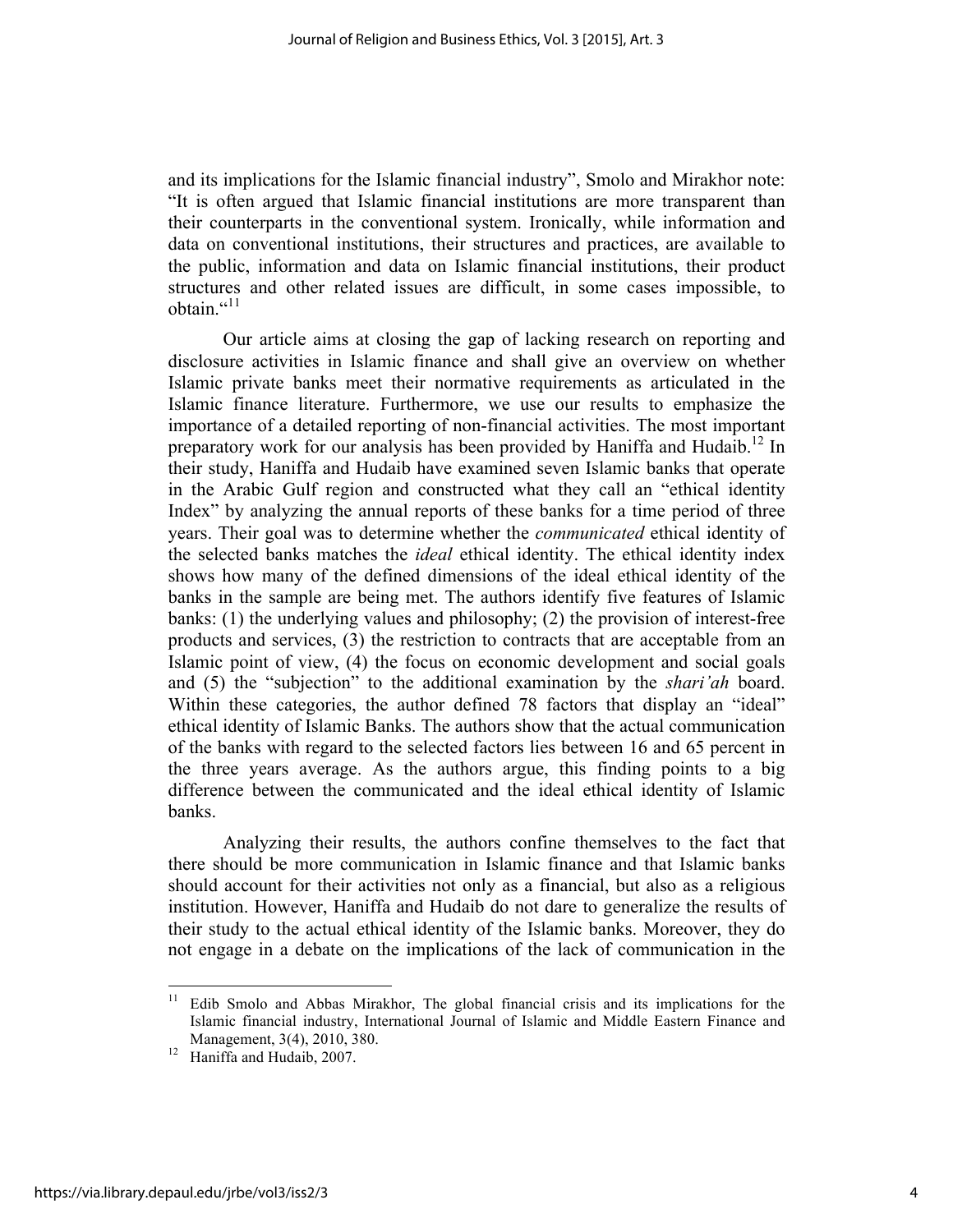and its implications for the Islamic financial industry", Smolo and Mirakhor note: "It is often argued that Islamic financial institutions are more transparent than their counterparts in the conventional system. Ironically, while information and data on conventional institutions, their structures and practices, are available to the public, information and data on Islamic financial institutions, their product structures and other related issues are difficult, in some cases impossible, to obtain  $\cdot$ <sup>11</sup>

Our article aims at closing the gap of lacking research on reporting and disclosure activities in Islamic finance and shall give an overview on whether Islamic private banks meet their normative requirements as articulated in the Islamic finance literature. Furthermore, we use our results to emphasize the importance of a detailed reporting of non-financial activities. The most important preparatory work for our analysis has been provided by Haniffa and Hudaib.<sup>12</sup> In their study, Haniffa and Hudaib have examined seven Islamic banks that operate in the Arabic Gulf region and constructed what they call an "ethical identity Index" by analyzing the annual reports of these banks for a time period of three years. Their goal was to determine whether the *communicated* ethical identity of the selected banks matches the *ideal* ethical identity. The ethical identity index shows how many of the defined dimensions of the ideal ethical identity of the banks in the sample are being met. The authors identify five features of Islamic banks: (1) the underlying values and philosophy; (2) the provision of interest-free products and services, (3) the restriction to contracts that are acceptable from an Islamic point of view, (4) the focus on economic development and social goals and (5) the "subjection" to the additional examination by the *shari'ah* board. Within these categories, the author defined 78 factors that display an "ideal" ethical identity of Islamic Banks. The authors show that the actual communication of the banks with regard to the selected factors lies between 16 and 65 percent in the three years average. As the authors argue, this finding points to a big difference between the communicated and the ideal ethical identity of Islamic banks.

Analyzing their results, the authors confine themselves to the fact that there should be more communication in Islamic finance and that Islamic banks should account for their activities not only as a financial, but also as a religious institution. However, Haniffa and Hudaib do not dare to generalize the results of their study to the actual ethical identity of the Islamic banks. Moreover, they do not engage in a debate on the implications of the lack of communication in the

<sup>&</sup>lt;sup>11</sup> Edib Smolo and Abbas Mirakhor, The global financial crisis and its implications for the Islamic financial industry, International Journal of Islamic and Middle Eastern Finance and Management, 3(4), 2010, 380. <sup>12</sup> Haniffa and Hudaib, 2007.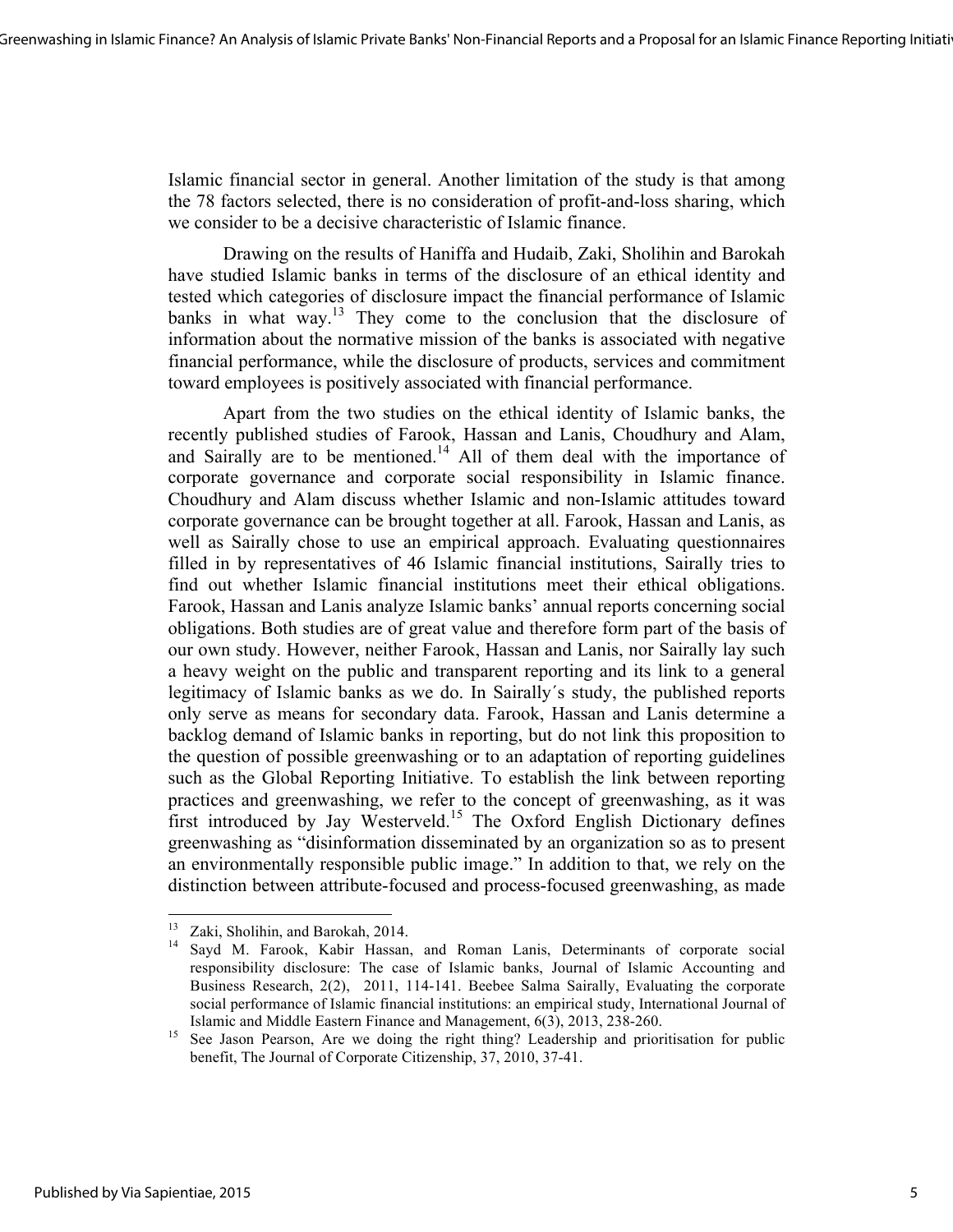Islamic financial sector in general. Another limitation of the study is that among the 78 factors selected, there is no consideration of profit-and-loss sharing, which we consider to be a decisive characteristic of Islamic finance.

Drawing on the results of Haniffa and Hudaib, Zaki, Sholihin and Barokah have studied Islamic banks in terms of the disclosure of an ethical identity and tested which categories of disclosure impact the financial performance of Islamic banks in what way.<sup>13</sup> They come to the conclusion that the disclosure of information about the normative mission of the banks is associated with negative financial performance, while the disclosure of products, services and commitment toward employees is positively associated with financial performance.

Apart from the two studies on the ethical identity of Islamic banks, the recently published studies of Farook, Hassan and Lanis, Choudhury and Alam, and Sairally are to be mentioned.<sup>14</sup> All of them deal with the importance of corporate governance and corporate social responsibility in Islamic finance. Choudhury and Alam discuss whether Islamic and non-Islamic attitudes toward corporate governance can be brought together at all. Farook, Hassan and Lanis, as well as Sairally chose to use an empirical approach. Evaluating questionnaires filled in by representatives of 46 Islamic financial institutions, Sairally tries to find out whether Islamic financial institutions meet their ethical obligations. Farook, Hassan and Lanis analyze Islamic banks' annual reports concerning social obligations. Both studies are of great value and therefore form part of the basis of our own study. However, neither Farook, Hassan and Lanis, nor Sairally lay such a heavy weight on the public and transparent reporting and its link to a general legitimacy of Islamic banks as we do. In Sairally´s study, the published reports only serve as means for secondary data. Farook, Hassan and Lanis determine a backlog demand of Islamic banks in reporting, but do not link this proposition to the question of possible greenwashing or to an adaptation of reporting guidelines such as the Global Reporting Initiative. To establish the link between reporting practices and greenwashing, we refer to the concept of greenwashing, as it was first introduced by Jay Westerveld.<sup>15</sup> The Oxford English Dictionary defines greenwashing as "disinformation disseminated by an organization so as to present an environmentally responsible public image." In addition to that, we rely on the distinction between attribute-focused and process-focused greenwashing, as made

<sup>&</sup>lt;sup>13</sup> Zaki, Sholihin, and Barokah, 2014.<br><sup>14</sup> Sayd M. Farook, Kabir Hassan, and Roman Lanis, Determinants of corporate social responsibility disclosure: The case of Islamic banks, Journal of Islamic Accounting and Business Research, 2(2), 2011, 114-141. Beebee Salma Sairally, Evaluating the corporate social performance of Islamic financial institutions: an empirical study, International Journal of

Islamic and Middle Eastern Finance and Management,  $6(3)$ , 2013, 238-260.<br><sup>15</sup> See Jason Pearson, Are we doing the right thing? Leadership and prioritisation for public benefit, The Journal of Corporate Citizenship, 37, 2010, 37-41.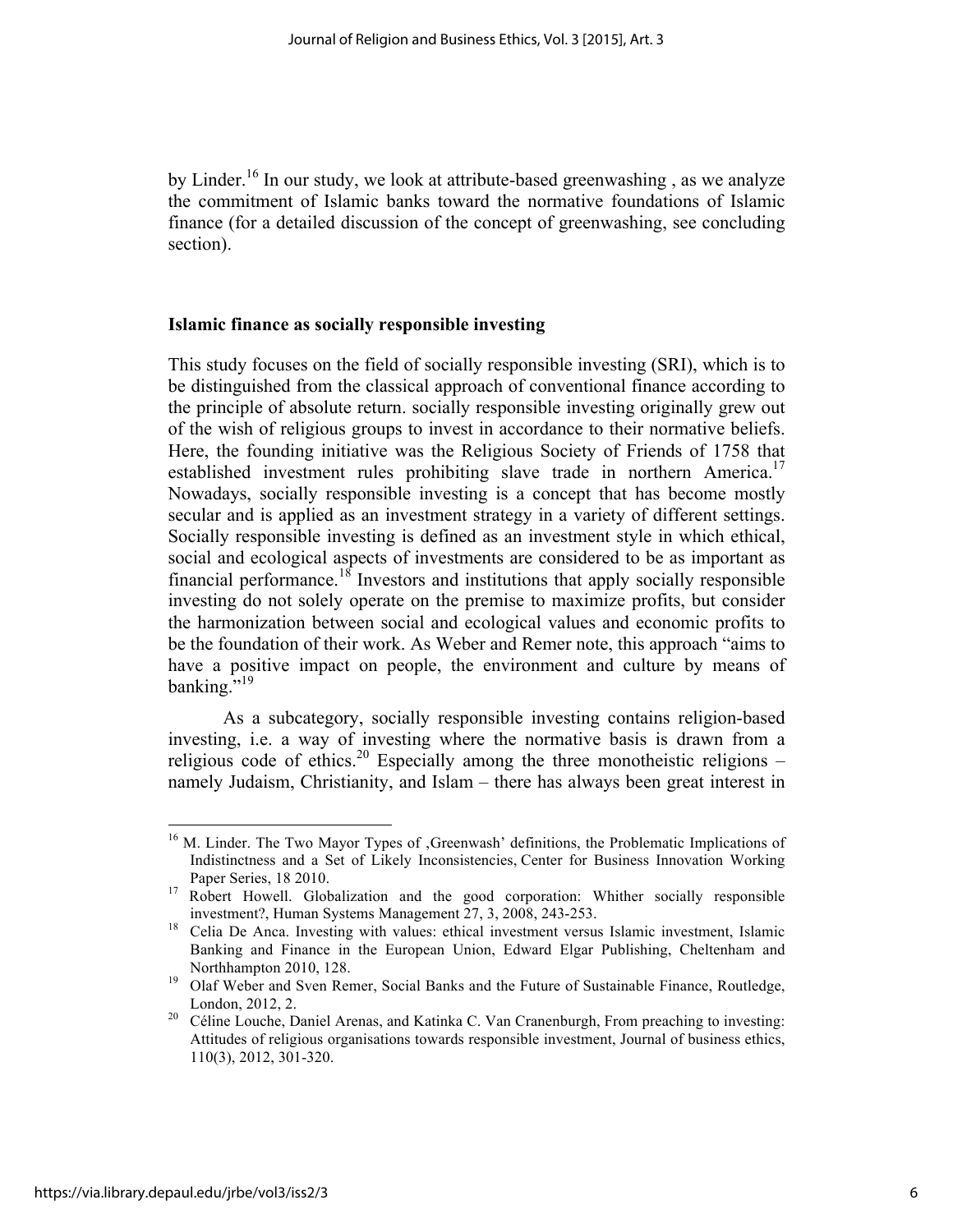by Linder.<sup>16</sup> In our study, we look at attribute-based greenwashing, as we analyze the commitment of Islamic banks toward the normative foundations of Islamic finance (for a detailed discussion of the concept of greenwashing, see concluding section).

## **Islamic finance as socially responsible investing**

This study focuses on the field of socially responsible investing (SRI), which is to be distinguished from the classical approach of conventional finance according to the principle of absolute return. socially responsible investing originally grew out of the wish of religious groups to invest in accordance to their normative beliefs. Here, the founding initiative was the Religious Society of Friends of 1758 that established investment rules prohibiting slave trade in northern America.<sup>17</sup> Nowadays, socially responsible investing is a concept that has become mostly secular and is applied as an investment strategy in a variety of different settings. Socially responsible investing is defined as an investment style in which ethical, social and ecological aspects of investments are considered to be as important as financial performance.<sup>18</sup> Investors and institutions that apply socially responsible investing do not solely operate on the premise to maximize profits, but consider the harmonization between social and ecological values and economic profits to be the foundation of their work. As Weber and Remer note, this approach "aims to have a positive impact on people, the environment and culture by means of banking."<sup>19</sup>

As a subcategory, socially responsible investing contains religion-based investing, i.e. a way of investing where the normative basis is drawn from a religious code of ethics.<sup>20</sup> Especially among the three monotheistic religions – namely Judaism, Christianity, and Islam – there has always been great interest in

<sup>&</sup>lt;sup>16</sup> M. Linder. The Two Mayor Types of , Greenwash' definitions, the Problematic Implications of Indistinctness and a Set of Likely Inconsistencies, Center for Business Innovation Working

Paper Series, 18 2010.<br><sup>17</sup> Robert Howell. Globalization and the good corporation: Whither socially responsible

investment?, Human Systems Management 27, 3, 2008, 243-253. <sup>18</sup> Celia De Anca. Investing with values: ethical investment versus Islamic investment, Islamic Banking and Finance in the European Union, Edward Elgar Publishing, Cheltenham and

Northhampton 2010, 128.<br><sup>19</sup> Olaf Weber and Sven Remer, Social Banks and the Future of Sustainable Finance, Routledge, London, 2012, 2.<br><sup>20</sup> Céline Louche, Daniel Arenas, and Katinka C. Van Cranenburgh, From preaching to investing:

Attitudes of religious organisations towards responsible investment, Journal of business ethics, 110(3), 2012, 301-320.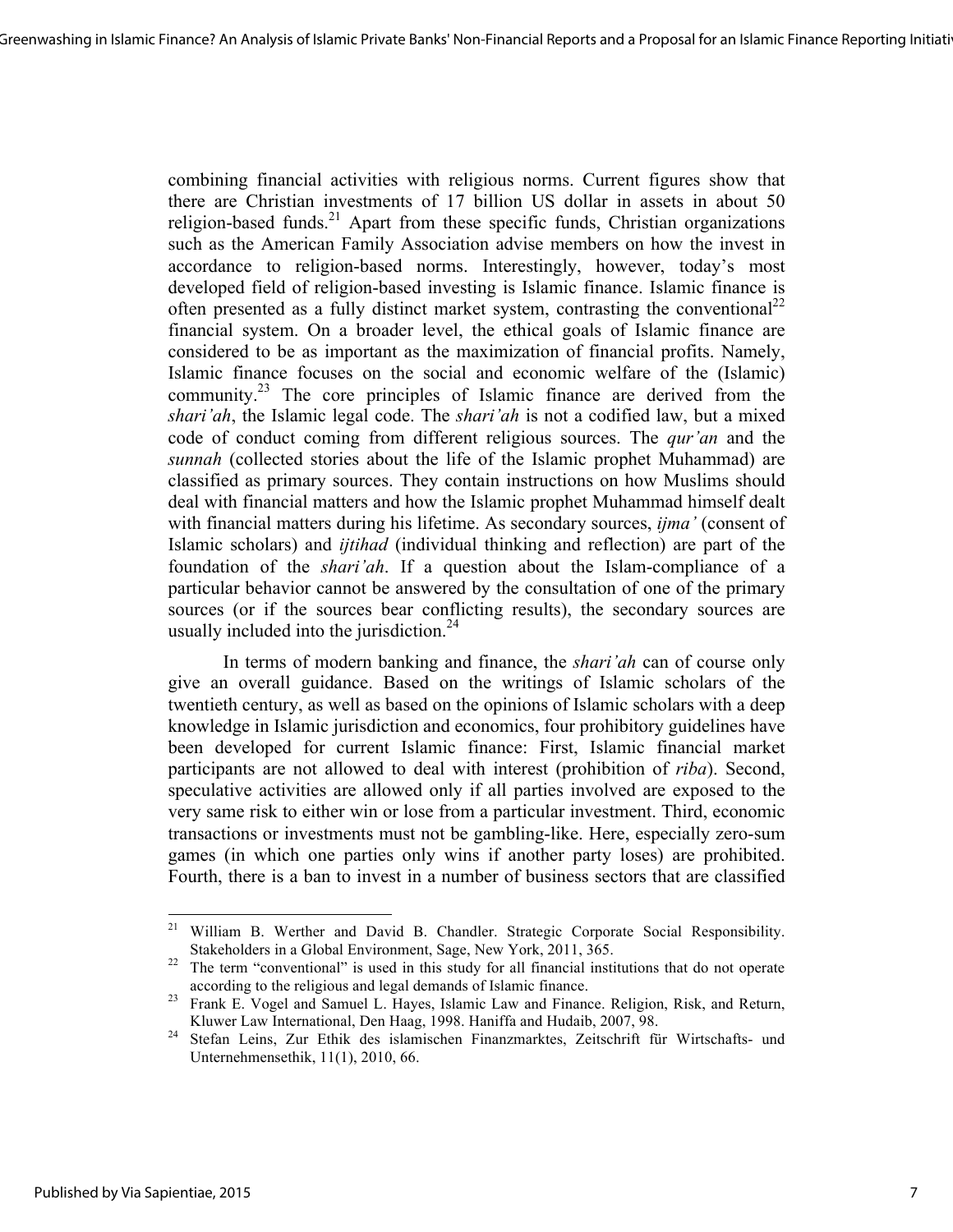combining financial activities with religious norms. Current figures show that there are Christian investments of 17 billion US dollar in assets in about 50 religion-based funds.<sup>21</sup> Apart from these specific funds, Christian organizations such as the American Family Association advise members on how the invest in accordance to religion-based norms. Interestingly, however, today's most developed field of religion-based investing is Islamic finance. Islamic finance is often presented as a fully distinct market system, contrasting the conventional<sup>22</sup> financial system. On a broader level, the ethical goals of Islamic finance are considered to be as important as the maximization of financial profits. Namely, Islamic finance focuses on the social and economic welfare of the (Islamic) community.<sup>23</sup> The core principles of Islamic finance are derived from the *shari'ah*, the Islamic legal code. The *shari'ah* is not a codified law, but a mixed code of conduct coming from different religious sources. The *qur'an* and the *sunnah* (collected stories about the life of the Islamic prophet Muhammad) are classified as primary sources. They contain instructions on how Muslims should deal with financial matters and how the Islamic prophet Muhammad himself dealt with financial matters during his lifetime. As secondary sources, *ijma'* (consent of Islamic scholars) and *ijtihad* (individual thinking and reflection) are part of the foundation of the *shari'ah*. If a question about the Islam-compliance of a particular behavior cannot be answered by the consultation of one of the primary sources (or if the sources bear conflicting results), the secondary sources are usually included into the jurisdiction. $24$ 

In terms of modern banking and finance, the *shari'ah* can of course only give an overall guidance. Based on the writings of Islamic scholars of the twentieth century, as well as based on the opinions of Islamic scholars with a deep knowledge in Islamic jurisdiction and economics, four prohibitory guidelines have been developed for current Islamic finance: First, Islamic financial market participants are not allowed to deal with interest (prohibition of *riba*). Second, speculative activities are allowed only if all parties involved are exposed to the very same risk to either win or lose from a particular investment. Third, economic transactions or investments must not be gambling-like. Here, especially zero-sum games (in which one parties only wins if another party loses) are prohibited. Fourth, there is a ban to invest in a number of business sectors that are classified

<sup>&</sup>lt;sup>21</sup> William B. Werther and David B. Chandler. Strategic Corporate Social Responsibility. Stakeholders in a Global Environment, Sage, New York, 2011, 365. <sup>22</sup> The term "conventional" is used in this study for all financial institutions that do not operate

according to the religious and legal demands of Islamic finance. <sup>23</sup> Frank E. Vogel and Samuel L. Hayes, Islamic Law and Finance. Religion, Risk, and Return,

Kluwer Law International, Den Haag, 1998. Haniffa and Hudaib, 2007, 98.<br><sup>24</sup> Stefan Leins, Zur Ethik des islamischen Finanzmarktes, Zeitschrift für Wirtschafts- und

Unternehmensethik, 11(1), 2010, 66.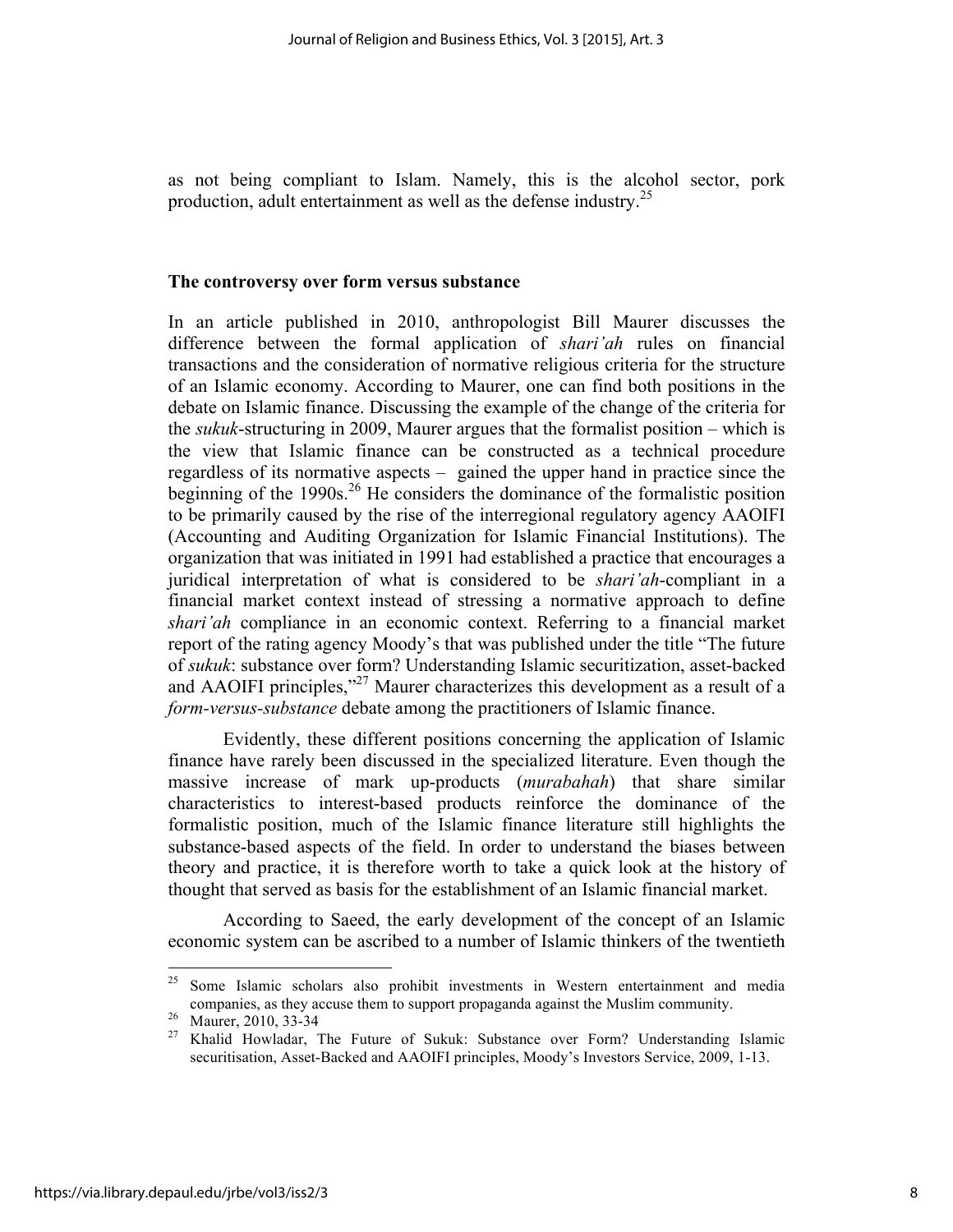as not being compliant to Islam. Namely, this is the alcohol sector, pork production, adult entertainment as well as the defense industry.<sup>25</sup>

## **The controversy over form versus substance**

In an article published in 2010, anthropologist Bill Maurer discusses the difference between the formal application of *shari'ah* rules on financial transactions and the consideration of normative religious criteria for the structure of an Islamic economy. According to Maurer, one can find both positions in the debate on Islamic finance. Discussing the example of the change of the criteria for the *sukuk*-structuring in 2009, Maurer argues that the formalist position – which is the view that Islamic finance can be constructed as a technical procedure regardless of its normative aspects – gained the upper hand in practice since the beginning of the 1990s.<sup>26</sup> He considers the dominance of the formalistic position to be primarily caused by the rise of the interregional regulatory agency AAOIFI (Accounting and Auditing Organization for Islamic Financial Institutions). The organization that was initiated in 1991 had established a practice that encourages a juridical interpretation of what is considered to be *shari'ah*-compliant in a financial market context instead of stressing a normative approach to define *shari'ah* compliance in an economic context. Referring to a financial market report of the rating agency Moody's that was published under the title "The future of *sukuk*: substance over form? Understanding Islamic securitization, asset-backed and AAOIFI principles,"<sup>27</sup> Maurer characterizes this development as a result of a *form-versus-substance* debate among the practitioners of Islamic finance.

Evidently, these different positions concerning the application of Islamic finance have rarely been discussed in the specialized literature. Even though the massive increase of mark up-products (*murabahah*) that share similar characteristics to interest-based products reinforce the dominance of the formalistic position, much of the Islamic finance literature still highlights the substance-based aspects of the field. In order to understand the biases between theory and practice, it is therefore worth to take a quick look at the history of thought that served as basis for the establishment of an Islamic financial market.

According to Saeed, the early development of the concept of an Islamic economic system can be ascribed to a number of Islamic thinkers of the twentieth

<u> 1989 - Johann Stein, fransk politik (d. 1989)</u>

<sup>&</sup>lt;sup>25</sup> Some Islamic scholars also prohibit investments in Western entertainment and media companies, as they accuse them to support propaganda against the Muslim community.<br><sup>26</sup> Maurer, 2010, 33-34<br><sup>27</sup> Khalid Howladar, The Future of Sukuk: Substance over Form? Understanding Islamic

securitisation, Asset-Backed and AAOIFI principles, Moody's Investors Service, 2009, 1-13.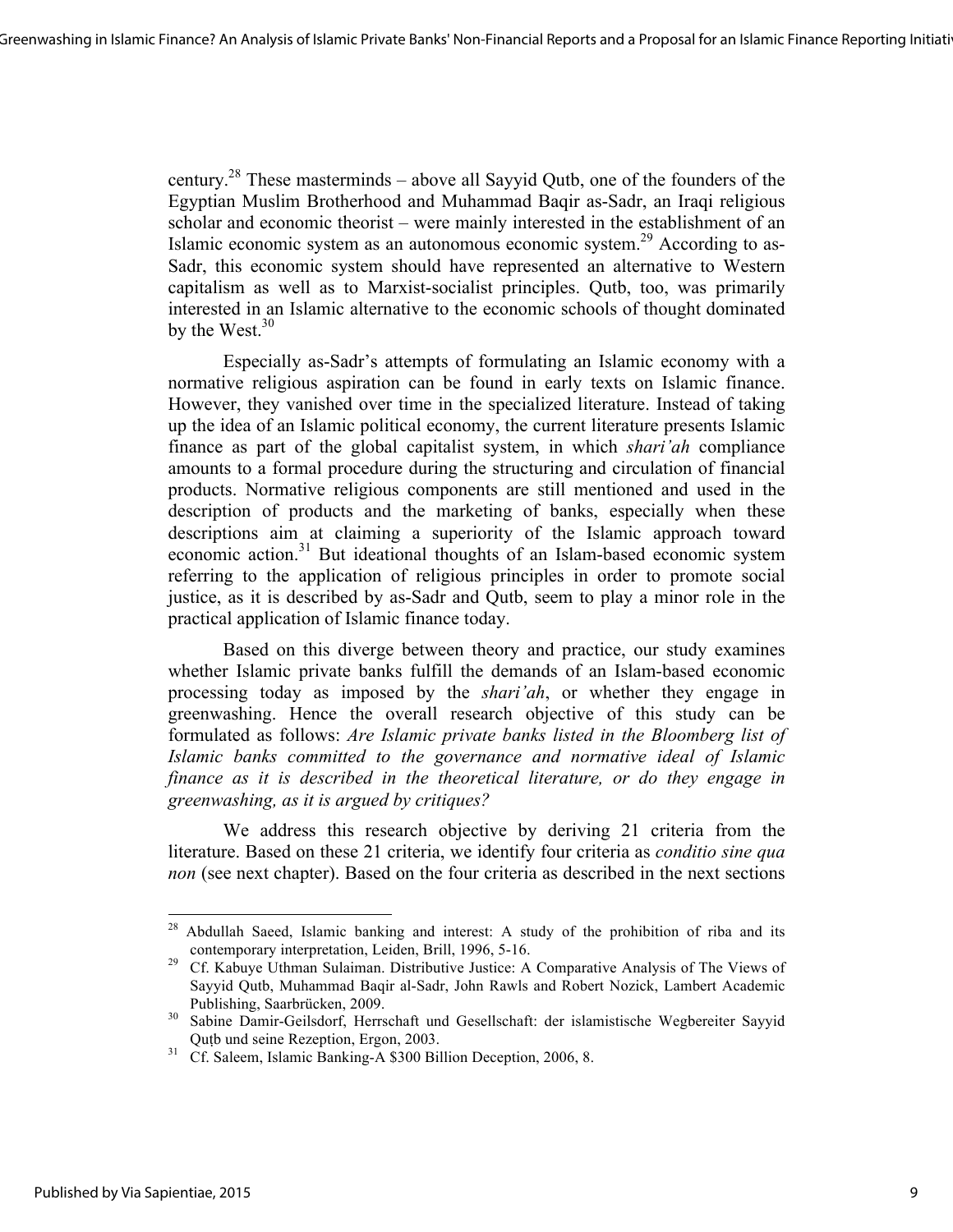century.<sup>28</sup> These masterminds – above all Sayyid Qutb, one of the founders of the Egyptian Muslim Brotherhood and Muhammad Baqir as-Sadr, an Iraqi religious scholar and economic theorist – were mainly interested in the establishment of an Islamic economic system as an autonomous economic system.29 According to as-Sadr, this economic system should have represented an alternative to Western capitalism as well as to Marxist-socialist principles. Qutb, too, was primarily interested in an Islamic alternative to the economic schools of thought dominated by the West. $30$ 

Especially as-Sadr's attempts of formulating an Islamic economy with a normative religious aspiration can be found in early texts on Islamic finance. However, they vanished over time in the specialized literature. Instead of taking up the idea of an Islamic political economy, the current literature presents Islamic finance as part of the global capitalist system, in which *shari'ah* compliance amounts to a formal procedure during the structuring and circulation of financial products. Normative religious components are still mentioned and used in the description of products and the marketing of banks, especially when these descriptions aim at claiming a superiority of the Islamic approach toward economic action.<sup>31</sup> But ideational thoughts of an Islam-based economic system referring to the application of religious principles in order to promote social justice, as it is described by as-Sadr and Qutb, seem to play a minor role in the practical application of Islamic finance today.

Based on this diverge between theory and practice, our study examines whether Islamic private banks fulfill the demands of an Islam-based economic processing today as imposed by the *shari'ah*, or whether they engage in greenwashing. Hence the overall research objective of this study can be formulated as follows: *Are Islamic private banks listed in the Bloomberg list of Islamic banks committed to the governance and normative ideal of Islamic finance as it is described in the theoretical literature, or do they engage in greenwashing, as it is argued by critiques?* 

We address this research objective by deriving 21 criteria from the literature. Based on these 21 criteria, we identify four criteria as *conditio sine qua non* (see next chapter). Based on the four criteria as described in the next sections

<sup>&</sup>lt;sup>28</sup> Abdullah Saeed, Islamic banking and interest: A study of the prohibition of riba and its

contemporary interpretation, Leiden, Brill, 1996, 5-16. <sup>29</sup> Cf. Kabuye Uthman Sulaiman. Distributive Justice: A Comparative Analysis of The Views of Sayyid Qutb, Muhammad Baqir al-Sadr, John Rawls and Robert Nozick, Lambert Academic Publishing, Saarbrücken, 2009.<br><sup>30</sup> Sabine Damir-Geilsdorf, Herrschaft und Gesellschaft: der islamistische Wegbereiter Sayyid

Quṭb und seine Rezeption, Ergon, 2003. <sup>31</sup> Cf. Saleem, Islamic Banking-A \$300 Billion Deception, 2006, 8.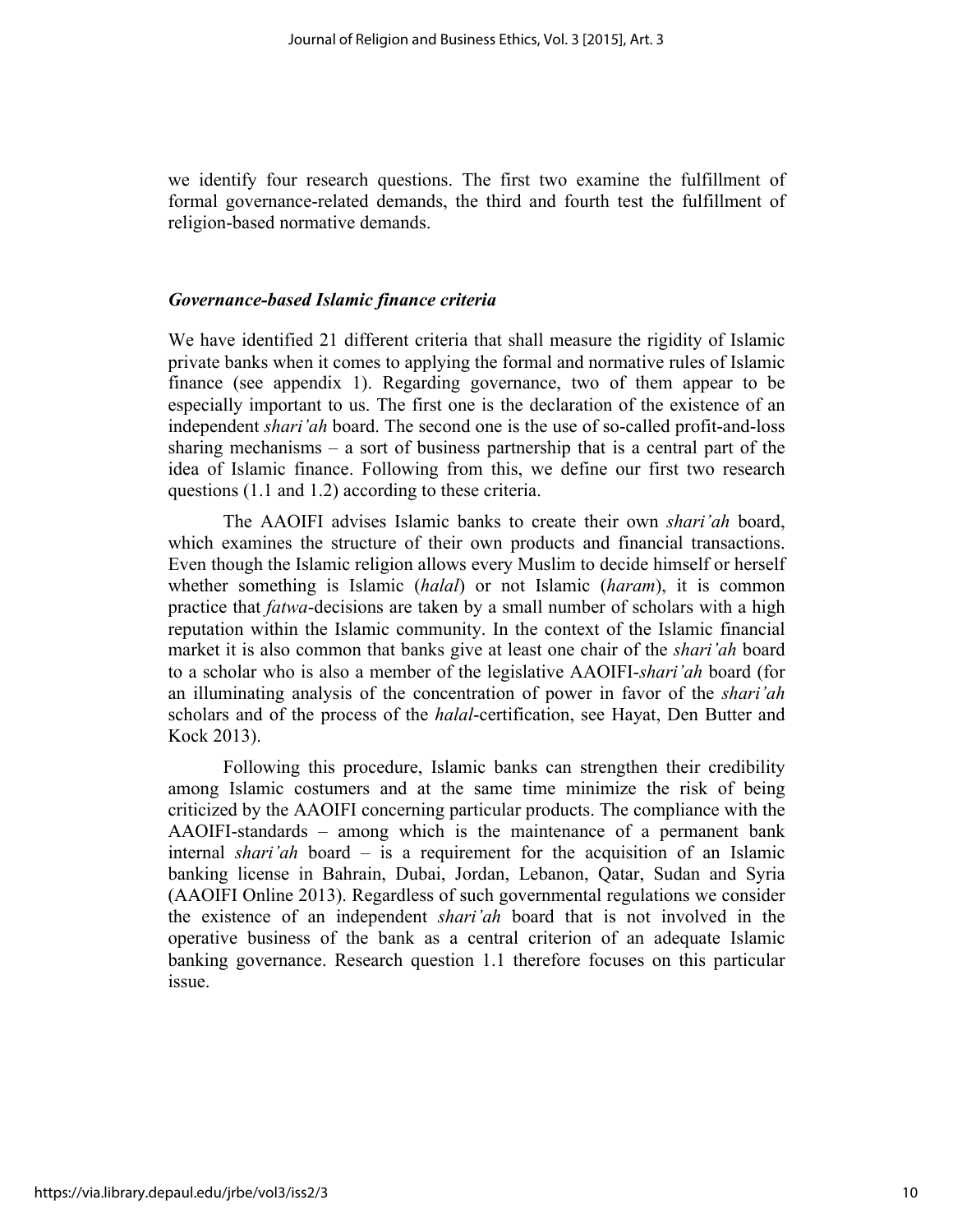we identify four research questions. The first two examine the fulfillment of formal governance-related demands, the third and fourth test the fulfillment of religion-based normative demands.

# *Governance-based Islamic finance criteria*

We have identified 21 different criteria that shall measure the rigidity of Islamic private banks when it comes to applying the formal and normative rules of Islamic finance (see appendix 1). Regarding governance, two of them appear to be especially important to us. The first one is the declaration of the existence of an independent *shari'ah* board. The second one is the use of so-called profit-and-loss sharing mechanisms  $-$  a sort of business partnership that is a central part of the idea of Islamic finance. Following from this, we define our first two research questions (1.1 and 1.2) according to these criteria.

The AAOIFI advises Islamic banks to create their own *shari'ah* board, which examines the structure of their own products and financial transactions. Even though the Islamic religion allows every Muslim to decide himself or herself whether something is Islamic (*halal*) or not Islamic (*haram*), it is common practice that *fatwa*-decisions are taken by a small number of scholars with a high reputation within the Islamic community. In the context of the Islamic financial market it is also common that banks give at least one chair of the *shari'ah* board to a scholar who is also a member of the legislative AAOIFI-*shari'ah* board (for an illuminating analysis of the concentration of power in favor of the *shari'ah* scholars and of the process of the *halal*-certification, see Hayat, Den Butter and Kock 2013).

Following this procedure, Islamic banks can strengthen their credibility among Islamic costumers and at the same time minimize the risk of being criticized by the AAOIFI concerning particular products. The compliance with the AAOIFI-standards – among which is the maintenance of a permanent bank internal *shari'ah* board – is a requirement for the acquisition of an Islamic banking license in Bahrain, Dubai, Jordan, Lebanon, Qatar, Sudan and Syria (AAOIFI Online 2013). Regardless of such governmental regulations we consider the existence of an independent *shari'ah* board that is not involved in the operative business of the bank as a central criterion of an adequate Islamic banking governance. Research question 1.1 therefore focuses on this particular issue.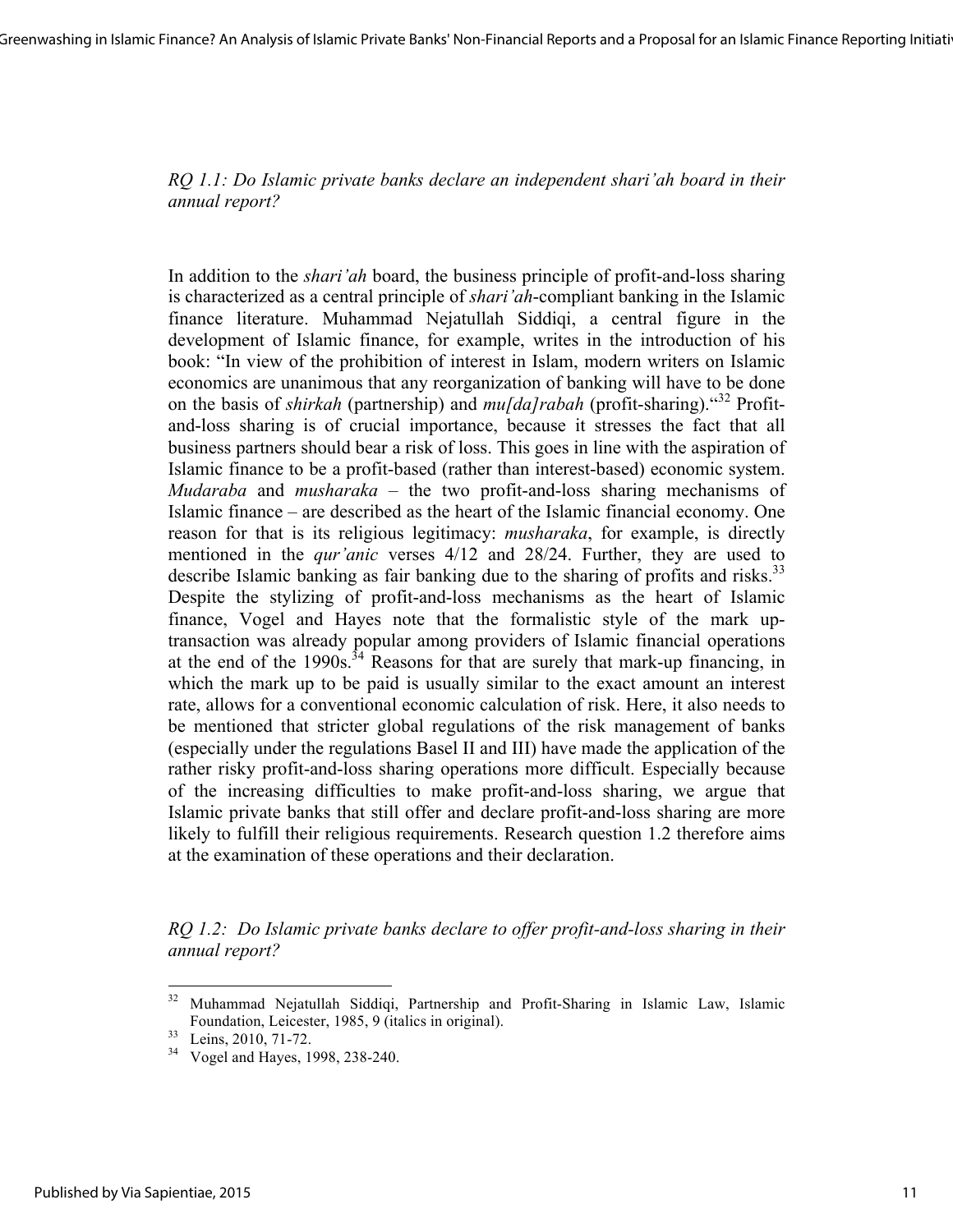*RQ 1.1: Do Islamic private banks declare an independent shari'ah board in their annual report?*

In addition to the *shari'ah* board, the business principle of profit-and-loss sharing is characterized as a central principle of *shari'ah*-compliant banking in the Islamic finance literature. Muhammad Nejatullah Siddiqi, a central figure in the development of Islamic finance, for example, writes in the introduction of his book: "In view of the prohibition of interest in Islam, modern writers on Islamic economics are unanimous that any reorganization of banking will have to be done on the basis of *shirkah* (partnership) and *mu[da]rabah* (profit-sharing)." <sup>32</sup> Profitand-loss sharing is of crucial importance, because it stresses the fact that all business partners should bear a risk of loss. This goes in line with the aspiration of Islamic finance to be a profit-based (rather than interest-based) economic system. *Mudaraba* and *musharaka* – the two profit-and-loss sharing mechanisms of Islamic finance – are described as the heart of the Islamic financial economy. One reason for that is its religious legitimacy: *musharaka*, for example, is directly mentioned in the *qur'anic* verses 4/12 and 28/24. Further, they are used to describe Islamic banking as fair banking due to the sharing of profits and risks.<sup>33</sup> Despite the stylizing of profit-and-loss mechanisms as the heart of Islamic finance, Vogel and Hayes note that the formalistic style of the mark uptransaction was already popular among providers of Islamic financial operations at the end of the  $1990s^{34}$  Reasons for that are surely that mark-up financing, in which the mark up to be paid is usually similar to the exact amount an interest rate, allows for a conventional economic calculation of risk. Here, it also needs to be mentioned that stricter global regulations of the risk management of banks (especially under the regulations Basel II and III) have made the application of the rather risky profit-and-loss sharing operations more difficult. Especially because of the increasing difficulties to make profit-and-loss sharing, we argue that Islamic private banks that still offer and declare profit-and-loss sharing are more likely to fulfill their religious requirements. Research question 1.2 therefore aims at the examination of these operations and their declaration.

*RQ 1.2: Do Islamic private banks declare to offer profit-and-loss sharing in their annual report?*

<sup>32</sup> Muhammad Nejatullah Siddiqi, Partnership and Profit-Sharing in Islamic Law, Islamic Foundation, Leicester, 1985, 9 (italics in original).<br>33 Leins, 2010, 71-72.<br>34 Vogel and Hayes, 1998, 238-240.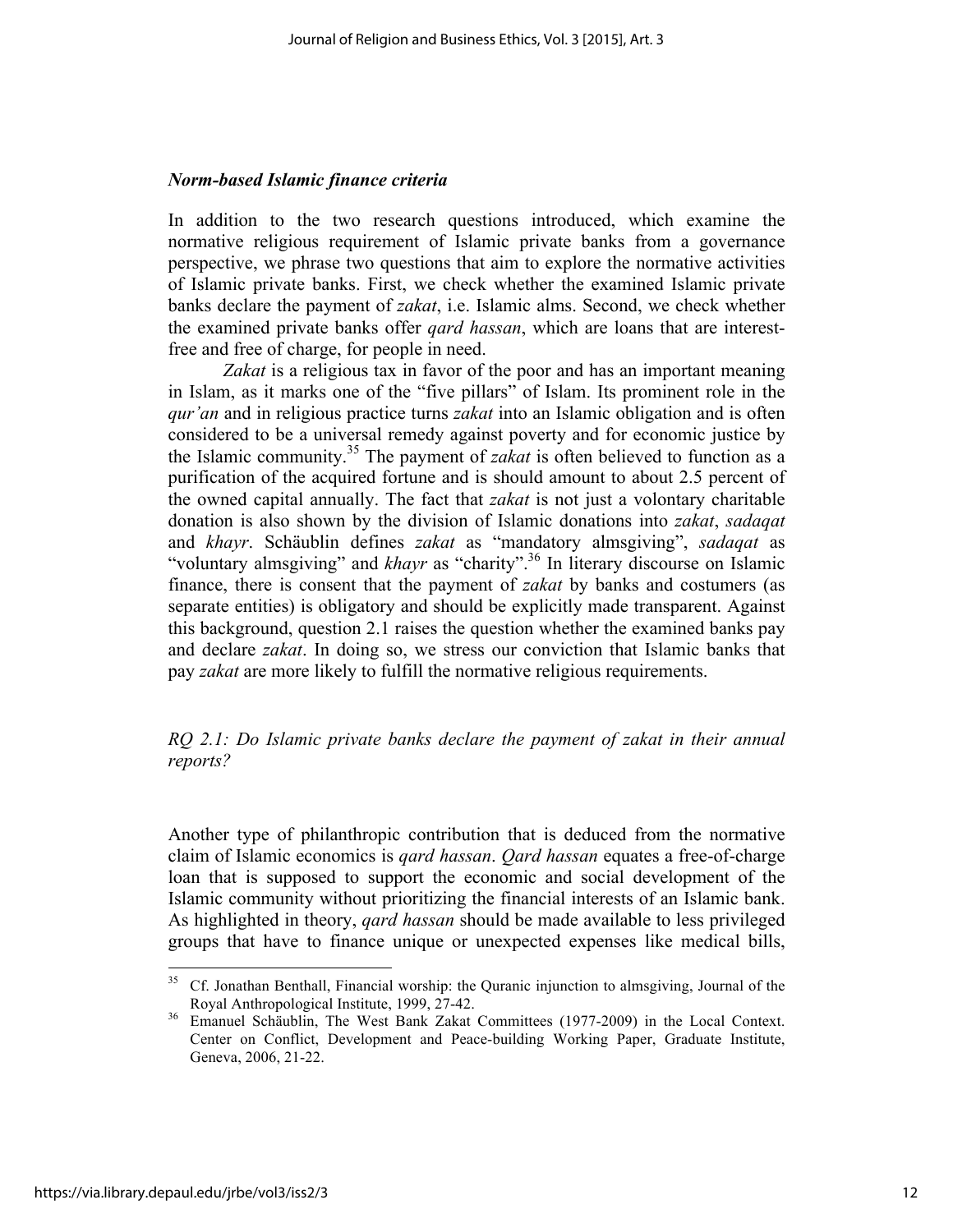# *Norm-based Islamic finance criteria*

In addition to the two research questions introduced, which examine the normative religious requirement of Islamic private banks from a governance perspective, we phrase two questions that aim to explore the normative activities of Islamic private banks. First, we check whether the examined Islamic private banks declare the payment of *zakat*, i.e. Islamic alms. Second, we check whether the examined private banks offer *qard hassan*, which are loans that are interestfree and free of charge, for people in need.

*Zakat* is a religious tax in favor of the poor and has an important meaning in Islam, as it marks one of the "five pillars" of Islam. Its prominent role in the *qur'an* and in religious practice turns *zakat* into an Islamic obligation and is often considered to be a universal remedy against poverty and for economic justice by the Islamic community. <sup>35</sup> The payment of *zakat* is often believed to function as a purification of the acquired fortune and is should amount to about 2.5 percent of the owned capital annually. The fact that *zakat* is not just a volontary charitable donation is also shown by the division of Islamic donations into *zakat*, *sadaqat* and *khayr*. Schäublin defines *zakat* as "mandatory almsgiving", *sadaqat* as "voluntary almsgiving" and *khayr* as "charity".<sup>36</sup> In literary discourse on Islamic finance, there is consent that the payment of *zakat* by banks and costumers (as separate entities) is obligatory and should be explicitly made transparent. Against this background, question 2.1 raises the question whether the examined banks pay and declare *zakat*. In doing so, we stress our conviction that Islamic banks that pay *zakat* are more likely to fulfill the normative religious requirements.

# *RQ 2.1: Do Islamic private banks declare the payment of zakat in their annual reports?*

Another type of philanthropic contribution that is deduced from the normative claim of Islamic economics is *qard hassan*. *Qard hassan* equates a free-of-charge loan that is supposed to support the economic and social development of the Islamic community without prioritizing the financial interests of an Islamic bank. As highlighted in theory, *qard hassan* should be made available to less privileged groups that have to finance unique or unexpected expenses like medical bills,

<u> 1989 - Johann Stein, markin film yn y breninn y breninn y breninn y breninn y breninn y breninn y breninn y b</u>

<sup>&</sup>lt;sup>35</sup> Cf. Jonathan Benthall, Financial worship: the Quranic injunction to almsgiving, Journal of the Royal Anthropological Institute, 1999, 27-42.<br><sup>36</sup> Emanuel Schäublin, The West Bank Zakat Committees (1977-2009) in the Local Context.

Center on Conflict, Development and Peace-building Working Paper, Graduate Institute, Geneva, 2006, 21-22.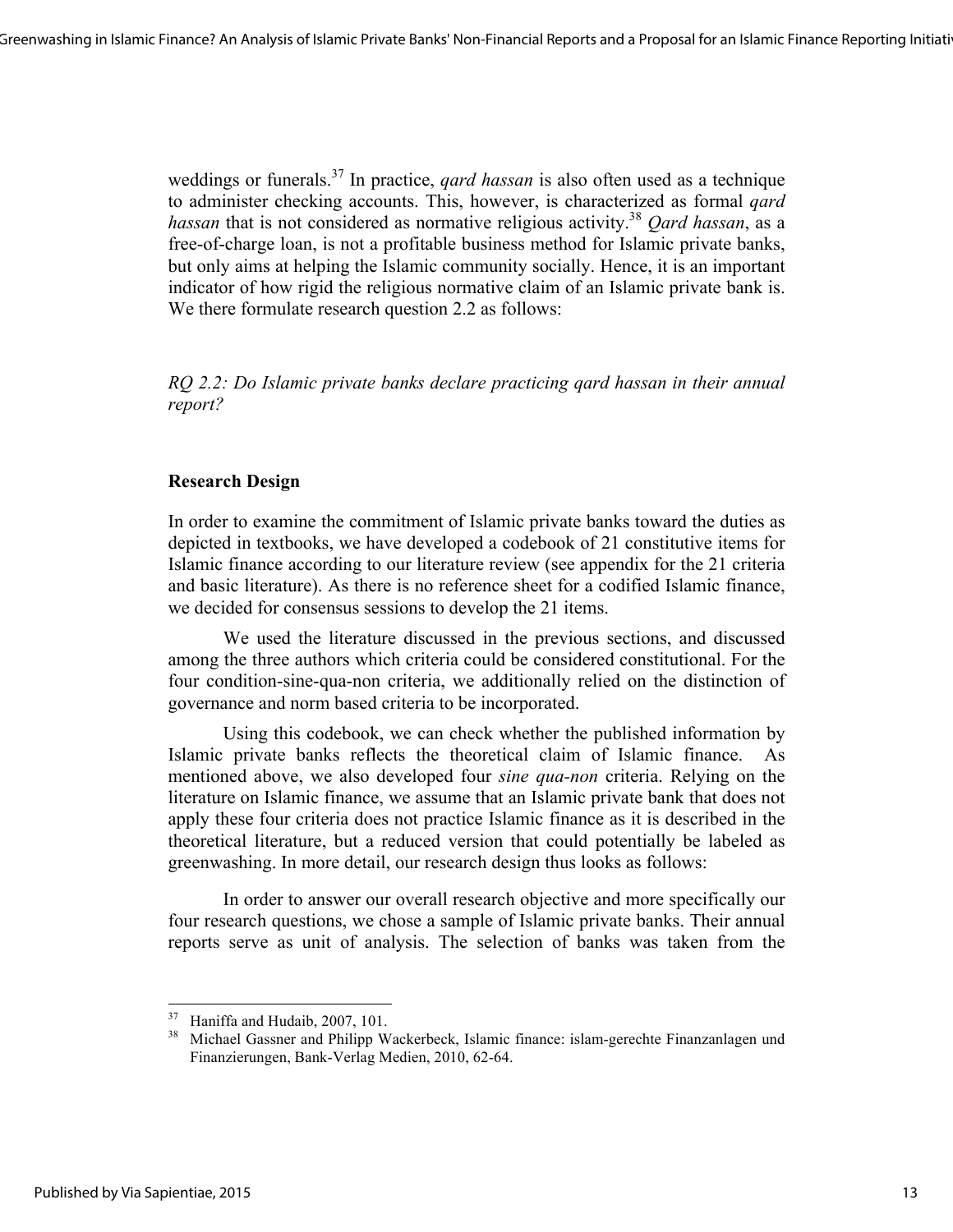weddings or funerals.<sup>37</sup> In practice, *qard hassan* is also often used as a technique to administer checking accounts. This, however, is characterized as formal *qard hassan* that is not considered as normative religious activity. <sup>38</sup> *Qard hassan*, as a free-of-charge loan, is not a profitable business method for Islamic private banks, but only aims at helping the Islamic community socially. Hence, it is an important indicator of how rigid the religious normative claim of an Islamic private bank is. We there formulate research question 2.2 as follows:

*RQ 2.2: Do Islamic private banks declare practicing qard hassan in their annual report?* 

# **Research Design**

In order to examine the commitment of Islamic private banks toward the duties as depicted in textbooks, we have developed a codebook of 21 constitutive items for Islamic finance according to our literature review (see appendix for the 21 criteria and basic literature). As there is no reference sheet for a codified Islamic finance, we decided for consensus sessions to develop the 21 items.

We used the literature discussed in the previous sections, and discussed among the three authors which criteria could be considered constitutional. For the four condition-sine-qua-non criteria, we additionally relied on the distinction of governance and norm based criteria to be incorporated.

Using this codebook, we can check whether the published information by Islamic private banks reflects the theoretical claim of Islamic finance. As mentioned above, we also developed four *sine qua-non* criteria. Relying on the literature on Islamic finance, we assume that an Islamic private bank that does not apply these four criteria does not practice Islamic finance as it is described in the theoretical literature, but a reduced version that could potentially be labeled as greenwashing. In more detail, our research design thus looks as follows:

In order to answer our overall research objective and more specifically our four research questions, we chose a sample of Islamic private banks. Their annual reports serve as unit of analysis. The selection of banks was taken from the

<sup>&</sup>lt;sup>37</sup> Haniffa and Hudaib, 2007, 101.

Michael Gassner and Philipp Wackerbeck, Islamic finance: islam-gerechte Finanzanlagen und Finanzierungen, Bank-Verlag Medien, 2010, 62-64.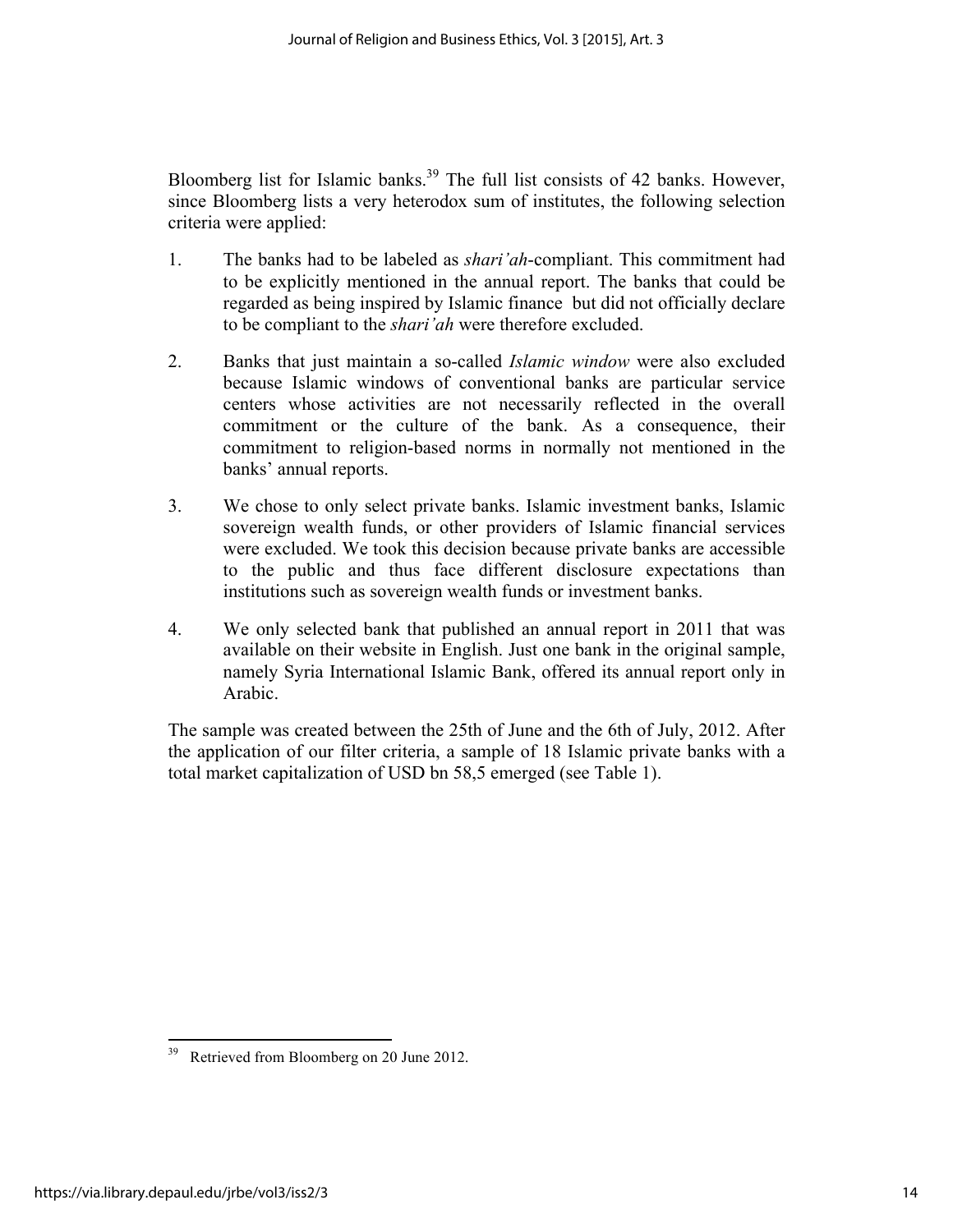Bloomberg list for Islamic banks.<sup>39</sup> The full list consists of 42 banks. However, since Bloomberg lists a very heterodox sum of institutes, the following selection criteria were applied:

- 1. The banks had to be labeled as *shari'ah*-compliant. This commitment had to be explicitly mentioned in the annual report. The banks that could be regarded as being inspired by Islamic finance but did not officially declare to be compliant to the *shari'ah* were therefore excluded.
- 2. Banks that just maintain a so-called *Islamic window* were also excluded because Islamic windows of conventional banks are particular service centers whose activities are not necessarily reflected in the overall commitment or the culture of the bank. As a consequence, their commitment to religion-based norms in normally not mentioned in the banks' annual reports.
- 3. We chose to only select private banks. Islamic investment banks, Islamic sovereign wealth funds, or other providers of Islamic financial services were excluded. We took this decision because private banks are accessible to the public and thus face different disclosure expectations than institutions such as sovereign wealth funds or investment banks.
- 4. We only selected bank that published an annual report in 2011 that was available on their website in English. Just one bank in the original sample, namely Syria International Islamic Bank, offered its annual report only in Arabic.

The sample was created between the 25th of June and the 6th of July, 2012. After the application of our filter criteria, a sample of 18 Islamic private banks with a total market capitalization of USD bn 58,5 emerged (see Table 1).

<sup>&</sup>lt;sup>39</sup> Retrieved from Bloomberg on 20 June 2012.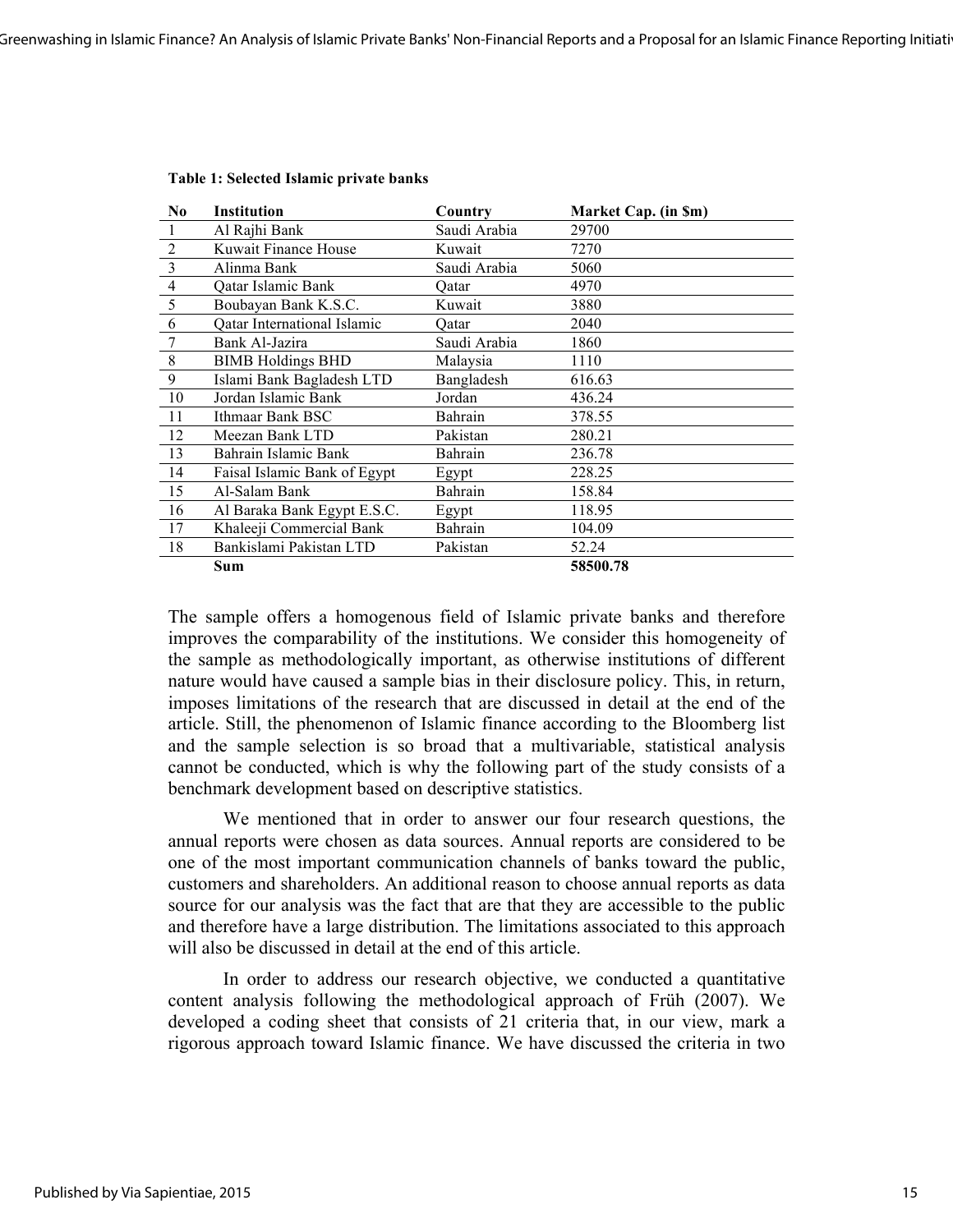| N <sub>0</sub> | Institution                        | Country      | Market Cap. (in Sm) |
|----------------|------------------------------------|--------------|---------------------|
|                | Al Rajhi Bank                      | Saudi Arabia | 29700               |
| $\overline{2}$ | Kuwait Finance House               | Kuwait       | 7270                |
| $\overline{3}$ | Alinma Bank                        | Saudi Arabia | 5060                |
| $\overline{4}$ | Qatar Islamic Bank                 | Oatar        | 4970                |
| 5              | Boubayan Bank K.S.C.               | Kuwait       | 3880                |
| 6              | <b>Qatar International Islamic</b> | Oatar        | 2040                |
| 7              | Bank Al-Jazira                     | Saudi Arabia | 1860                |
| 8              | <b>BIMB Holdings BHD</b>           | Malaysia     | 1110                |
| 9              | Islami Bank Bagladesh LTD          | Bangladesh   | 616.63              |
| 10             | Jordan Islamic Bank                | Jordan       | 436.24              |
| 11             | Ithmaar Bank BSC                   | Bahrain      | 378.55              |
| 12             | Meezan Bank LTD                    | Pakistan     | 280.21              |
| 13             | Bahrain Islamic Bank               | Bahrain      | 236.78              |
| 14             | Faisal Islamic Bank of Egypt       | Egypt        | 228.25              |
| 15             | Al-Salam Bank                      | Bahrain      | 158.84              |
| 16             | Al Baraka Bank Egypt E.S.C.        | Egypt        | 118.95              |
| 17             | Khaleeji Commercial Bank           | Bahrain      | 104.09              |
| 18             | Bankislami Pakistan LTD            | Pakistan     | 52.24               |
|                | Sum                                |              | 58500.78            |

#### **Table 1: Selected Islamic private banks**

The sample offers a homogenous field of Islamic private banks and therefore improves the comparability of the institutions. We consider this homogeneity of the sample as methodologically important, as otherwise institutions of different nature would have caused a sample bias in their disclosure policy. This, in return, imposes limitations of the research that are discussed in detail at the end of the article. Still, the phenomenon of Islamic finance according to the Bloomberg list and the sample selection is so broad that a multivariable, statistical analysis cannot be conducted, which is why the following part of the study consists of a benchmark development based on descriptive statistics.

We mentioned that in order to answer our four research questions, the annual reports were chosen as data sources. Annual reports are considered to be one of the most important communication channels of banks toward the public, customers and shareholders. An additional reason to choose annual reports as data source for our analysis was the fact that are that they are accessible to the public and therefore have a large distribution. The limitations associated to this approach will also be discussed in detail at the end of this article.

In order to address our research objective, we conducted a quantitative content analysis following the methodological approach of Früh (2007). We developed a coding sheet that consists of 21 criteria that, in our view, mark a rigorous approach toward Islamic finance. We have discussed the criteria in two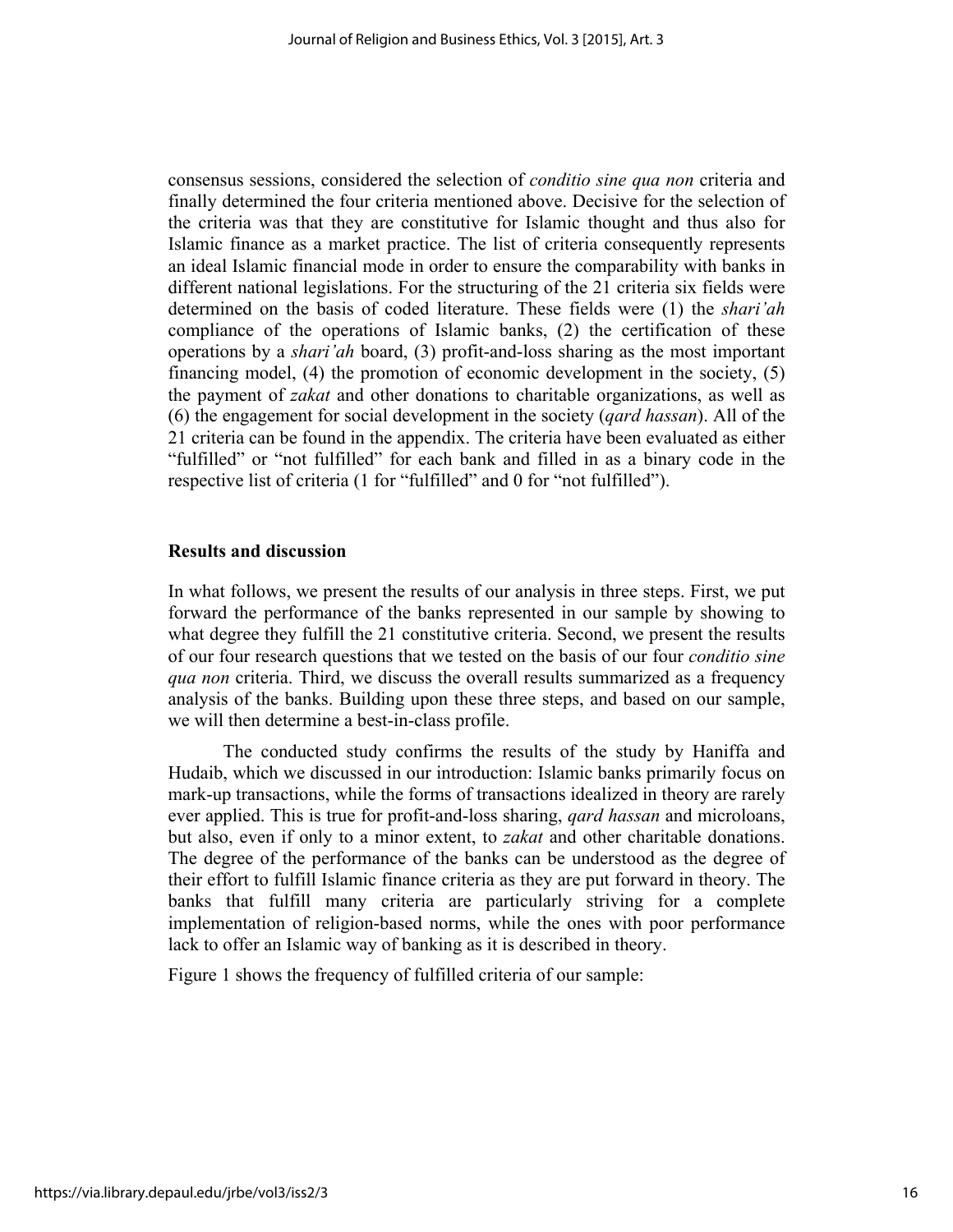consensus sessions, considered the selection of *conditio sine qua non* criteria and finally determined the four criteria mentioned above. Decisive for the selection of the criteria was that they are constitutive for Islamic thought and thus also for Islamic finance as a market practice. The list of criteria consequently represents an ideal Islamic financial mode in order to ensure the comparability with banks in different national legislations. For the structuring of the 21 criteria six fields were determined on the basis of coded literature. These fields were (1) the *shari'ah* compliance of the operations of Islamic banks, (2) the certification of these operations by a *shari'ah* board, (3) profit-and-loss sharing as the most important financing model, (4) the promotion of economic development in the society, (5) the payment of *zakat* and other donations to charitable organizations, as well as (6) the engagement for social development in the society (*qard hassan*). All of the 21 criteria can be found in the appendix. The criteria have been evaluated as either "fulfilled" or "not fulfilled" for each bank and filled in as a binary code in the respective list of criteria (1 for "fulfilled" and 0 for "not fulfilled").

## **Results and discussion**

In what follows, we present the results of our analysis in three steps. First, we put forward the performance of the banks represented in our sample by showing to what degree they fulfill the 21 constitutive criteria. Second, we present the results of our four research questions that we tested on the basis of our four *conditio sine qua non* criteria. Third, we discuss the overall results summarized as a frequency analysis of the banks. Building upon these three steps, and based on our sample, we will then determine a best-in-class profile.

The conducted study confirms the results of the study by Haniffa and Hudaib, which we discussed in our introduction: Islamic banks primarily focus on mark-up transactions, while the forms of transactions idealized in theory are rarely ever applied. This is true for profit-and-loss sharing, *qard hassan* and microloans, but also, even if only to a minor extent, to *zakat* and other charitable donations. The degree of the performance of the banks can be understood as the degree of their effort to fulfill Islamic finance criteria as they are put forward in theory. The banks that fulfill many criteria are particularly striving for a complete implementation of religion-based norms, while the ones with poor performance lack to offer an Islamic way of banking as it is described in theory.

Figure 1 shows the frequency of fulfilled criteria of our sample: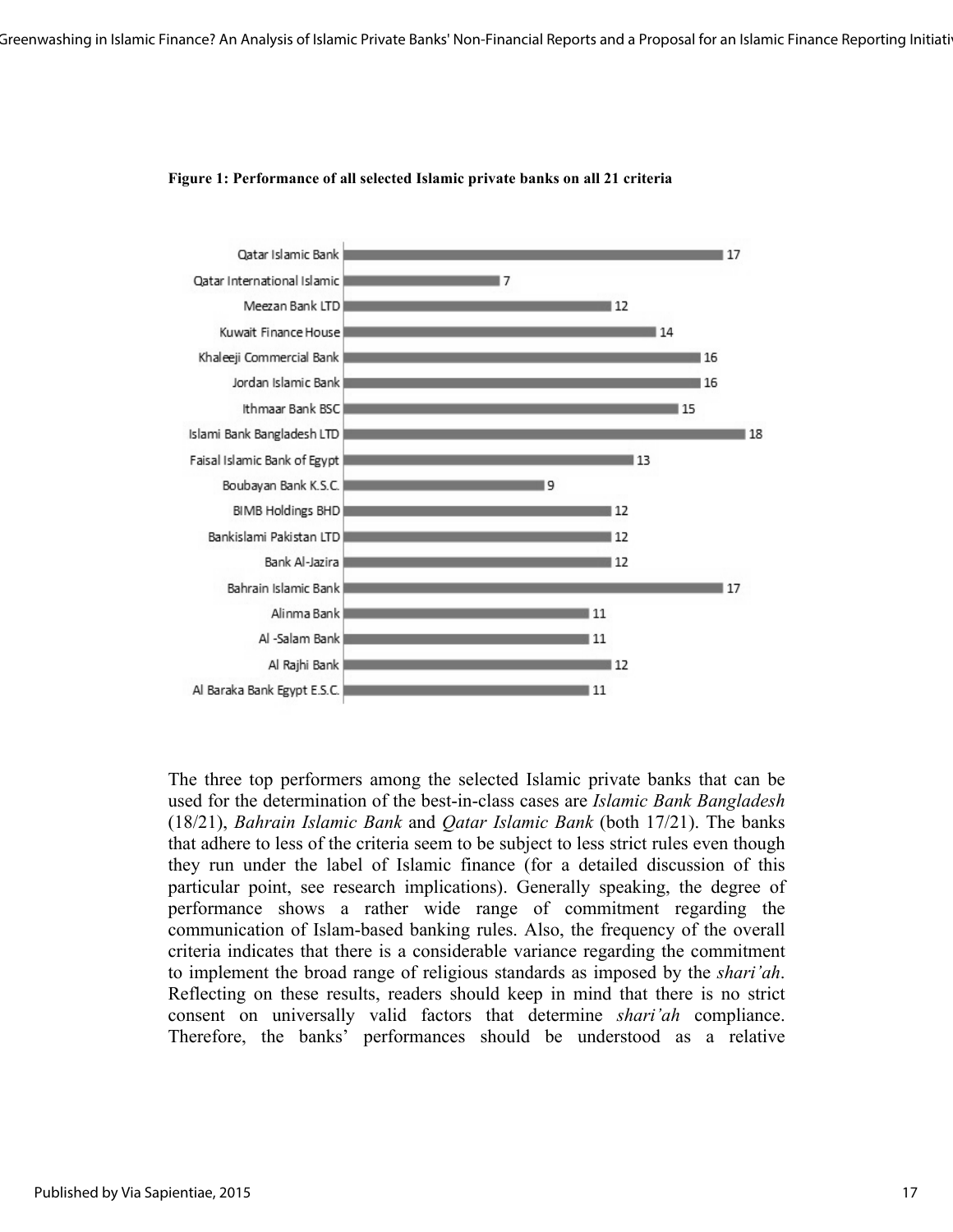

#### **Figure 1: Performance of all selected Islamic private banks on all 21 criteria**

The three top performers among the selected Islamic private banks that can be used for the determination of the best-in-class cases are *Islamic Bank Bangladesh*  (18/21), *Bahrain Islamic Bank* and *Qatar Islamic Bank* (both 17/21). The banks that adhere to less of the criteria seem to be subject to less strict rules even though they run under the label of Islamic finance (for a detailed discussion of this particular point, see research implications). Generally speaking, the degree of performance shows a rather wide range of commitment regarding the communication of Islam-based banking rules. Also, the frequency of the overall criteria indicates that there is a considerable variance regarding the commitment to implement the broad range of religious standards as imposed by the *shari'ah*. Reflecting on these results, readers should keep in mind that there is no strict consent on universally valid factors that determine *shari'ah* compliance. Therefore, the banks' performances should be understood as a relative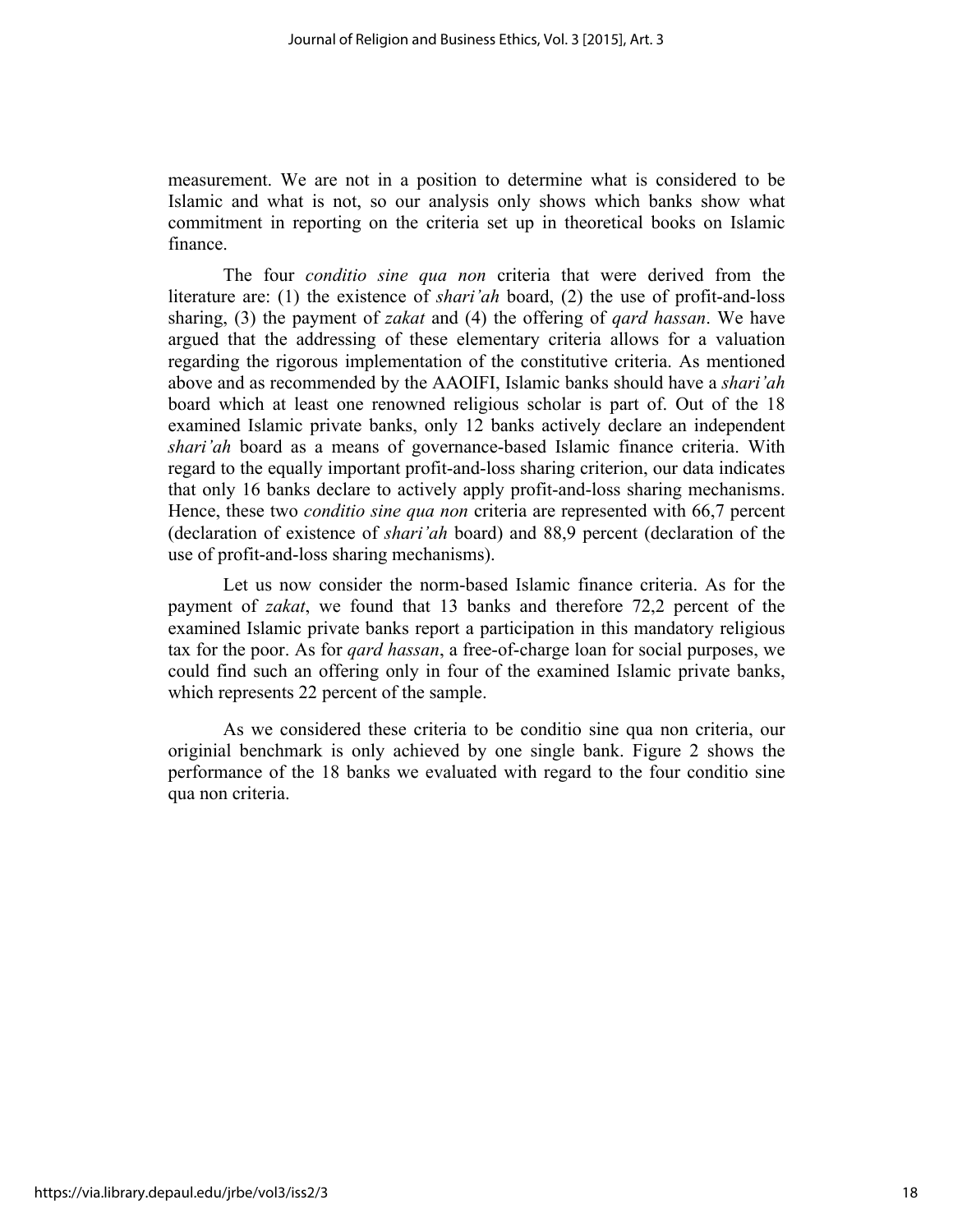measurement. We are not in a position to determine what is considered to be Islamic and what is not, so our analysis only shows which banks show what commitment in reporting on the criteria set up in theoretical books on Islamic finance.

The four *conditio sine qua non* criteria that were derived from the literature are: (1) the existence of *shari'ah* board, (2) the use of profit-and-loss sharing, (3) the payment of *zakat* and (4) the offering of *qard hassan*. We have argued that the addressing of these elementary criteria allows for a valuation regarding the rigorous implementation of the constitutive criteria. As mentioned above and as recommended by the AAOIFI, Islamic banks should have a *shari'ah* board which at least one renowned religious scholar is part of. Out of the 18 examined Islamic private banks, only 12 banks actively declare an independent *shari'ah* board as a means of governance-based Islamic finance criteria. With regard to the equally important profit-and-loss sharing criterion, our data indicates that only 16 banks declare to actively apply profit-and-loss sharing mechanisms. Hence, these two *conditio sine qua non* criteria are represented with 66,7 percent (declaration of existence of *shari'ah* board) and 88,9 percent (declaration of the use of profit-and-loss sharing mechanisms).

Let us now consider the norm-based Islamic finance criteria. As for the payment of *zakat*, we found that 13 banks and therefore 72,2 percent of the examined Islamic private banks report a participation in this mandatory religious tax for the poor. As for *qard hassan*, a free-of-charge loan for social purposes, we could find such an offering only in four of the examined Islamic private banks, which represents 22 percent of the sample.

As we considered these criteria to be conditio sine qua non criteria, our originial benchmark is only achieved by one single bank. Figure 2 shows the performance of the 18 banks we evaluated with regard to the four conditio sine qua non criteria.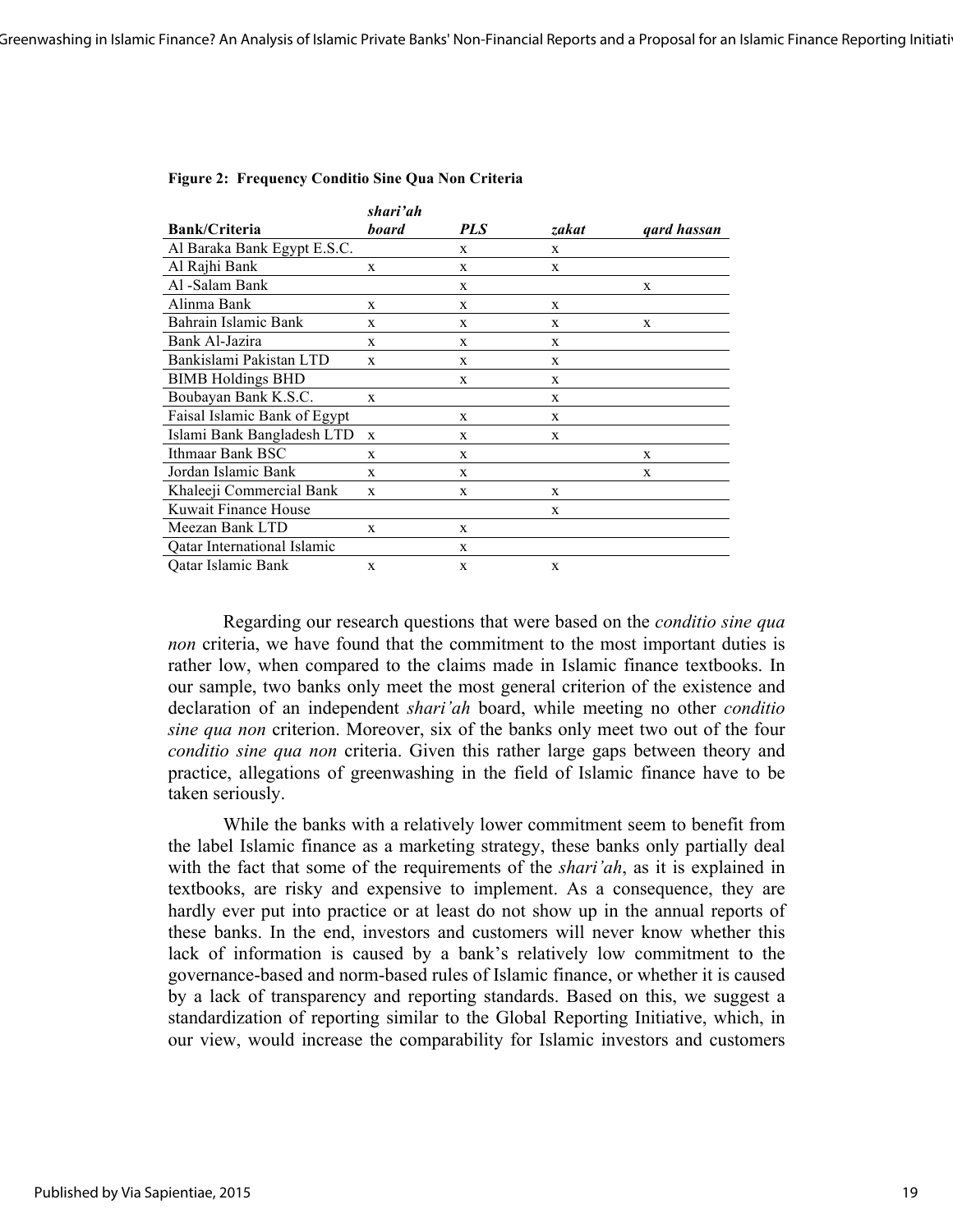|                              | shari'ah     |            |       |             |
|------------------------------|--------------|------------|-------|-------------|
| <b>Bank/Criteria</b>         | board        | <b>PLS</b> | zakat | gard hassan |
| Al Baraka Bank Egypt E.S.C.  |              | X          | X     |             |
| Al Rajhi Bank                | X            | X          | X     |             |
| Al -Salam Bank               |              | X          |       | X           |
| Alinma Bank                  | X            | X          | X     |             |
| Bahrain Islamic Bank         | X            | X          | X     | X           |
| Bank Al-Jazira               | X            | X          | X     |             |
| Bankislami Pakistan LTD      | X            | X          | X     |             |
| <b>BIMB</b> Holdings BHD     |              | X          | X     |             |
| Boubayan Bank K.S.C.         | X            |            | X     |             |
| Faisal Islamic Bank of Egypt |              | X          | X     |             |
| Islami Bank Bangladesh LTD   | $\mathbf{x}$ | X          | X     |             |
| Ithmaar Bank BSC             | X            | X          |       | X           |
| Jordan Islamic Bank          | X            | X          |       | X           |
| Khaleeji Commercial Bank     | X            | X          | X     |             |
| Kuwait Finance House         |              |            | X     |             |
| Meezan Bank LTD              | X            | X          |       |             |
| Qatar International Islamic  |              | X          |       |             |
| Oatar Islamic Bank           | X            | X          | X     |             |

#### **Figure 2: Frequency Conditio Sine Qua Non Criteria**

Regarding our research questions that were based on the *conditio sine qua non* criteria, we have found that the commitment to the most important duties is rather low, when compared to the claims made in Islamic finance textbooks. In our sample, two banks only meet the most general criterion of the existence and declaration of an independent *shari'ah* board, while meeting no other *conditio sine qua non* criterion. Moreover, six of the banks only meet two out of the four *conditio sine qua non* criteria. Given this rather large gaps between theory and practice, allegations of greenwashing in the field of Islamic finance have to be taken seriously.

While the banks with a relatively lower commitment seem to benefit from the label Islamic finance as a marketing strategy, these banks only partially deal with the fact that some of the requirements of the *shari'ah*, as it is explained in textbooks, are risky and expensive to implement. As a consequence, they are hardly ever put into practice or at least do not show up in the annual reports of these banks. In the end, investors and customers will never know whether this lack of information is caused by a bank's relatively low commitment to the governance-based and norm-based rules of Islamic finance, or whether it is caused by a lack of transparency and reporting standards. Based on this, we suggest a standardization of reporting similar to the Global Reporting Initiative, which, in our view, would increase the comparability for Islamic investors and customers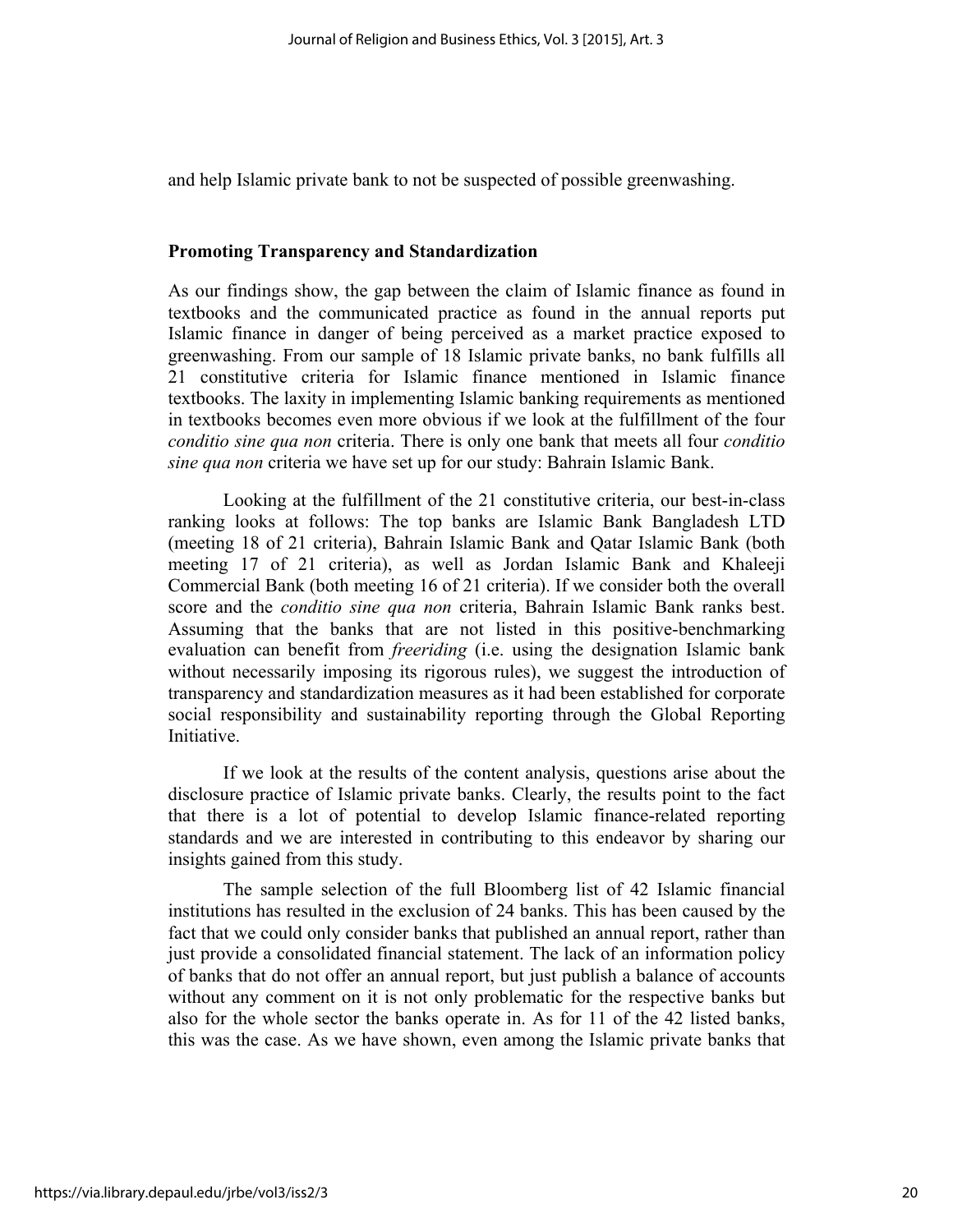and help Islamic private bank to not be suspected of possible greenwashing.

# **Promoting Transparency and Standardization**

As our findings show, the gap between the claim of Islamic finance as found in textbooks and the communicated practice as found in the annual reports put Islamic finance in danger of being perceived as a market practice exposed to greenwashing. From our sample of 18 Islamic private banks, no bank fulfills all 21 constitutive criteria for Islamic finance mentioned in Islamic finance textbooks. The laxity in implementing Islamic banking requirements as mentioned in textbooks becomes even more obvious if we look at the fulfillment of the four *conditio sine qua non* criteria. There is only one bank that meets all four *conditio sine qua non* criteria we have set up for our study: Bahrain Islamic Bank.

Looking at the fulfillment of the 21 constitutive criteria, our best-in-class ranking looks at follows: The top banks are Islamic Bank Bangladesh LTD (meeting 18 of 21 criteria), Bahrain Islamic Bank and Qatar Islamic Bank (both meeting 17 of 21 criteria), as well as Jordan Islamic Bank and Khaleeji Commercial Bank (both meeting 16 of 21 criteria). If we consider both the overall score and the *conditio sine qua non* criteria, Bahrain Islamic Bank ranks best. Assuming that the banks that are not listed in this positive-benchmarking evaluation can benefit from *freeriding* (i.e. using the designation Islamic bank without necessarily imposing its rigorous rules), we suggest the introduction of transparency and standardization measures as it had been established for corporate social responsibility and sustainability reporting through the Global Reporting Initiative.

If we look at the results of the content analysis, questions arise about the disclosure practice of Islamic private banks. Clearly, the results point to the fact that there is a lot of potential to develop Islamic finance-related reporting standards and we are interested in contributing to this endeavor by sharing our insights gained from this study.

The sample selection of the full Bloomberg list of 42 Islamic financial institutions has resulted in the exclusion of 24 banks. This has been caused by the fact that we could only consider banks that published an annual report, rather than just provide a consolidated financial statement. The lack of an information policy of banks that do not offer an annual report, but just publish a balance of accounts without any comment on it is not only problematic for the respective banks but also for the whole sector the banks operate in. As for 11 of the 42 listed banks, this was the case. As we have shown, even among the Islamic private banks that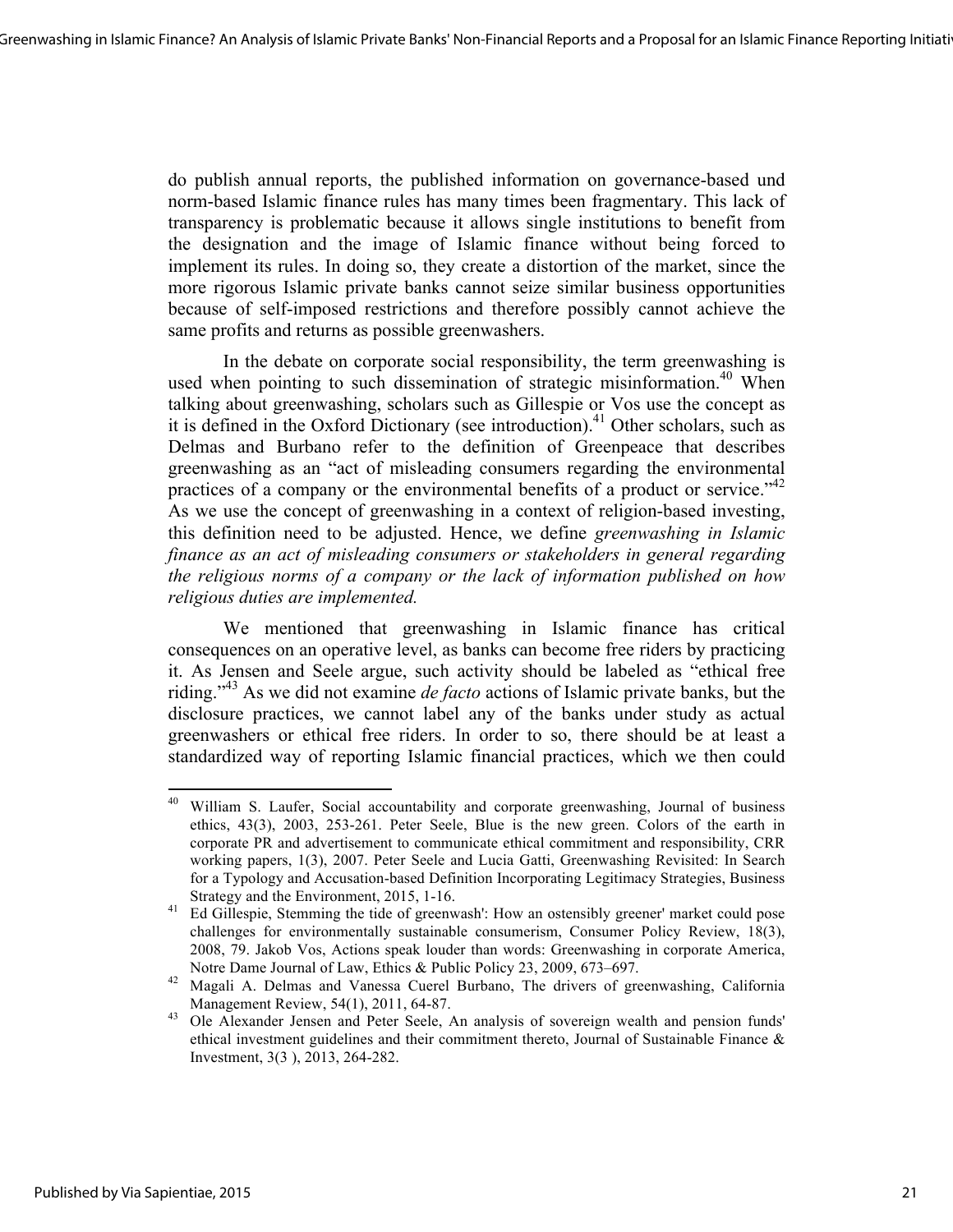do publish annual reports, the published information on governance-based und norm-based Islamic finance rules has many times been fragmentary. This lack of transparency is problematic because it allows single institutions to benefit from the designation and the image of Islamic finance without being forced to implement its rules. In doing so, they create a distortion of the market, since the more rigorous Islamic private banks cannot seize similar business opportunities because of self-imposed restrictions and therefore possibly cannot achieve the same profits and returns as possible greenwashers.

In the debate on corporate social responsibility, the term greenwashing is used when pointing to such dissemination of strategic misinformation.<sup>40</sup> When talking about greenwashing, scholars such as Gillespie or Vos use the concept as it is defined in the Oxford Dictionary (see introduction).<sup>41</sup> Other scholars, such as Delmas and Burbano refer to the definition of Greenpeace that describes greenwashing as an "act of misleading consumers regarding the environmental practices of a company or the environmental benefits of a product or service.<sup>42</sup> As we use the concept of greenwashing in a context of religion-based investing, this definition need to be adjusted. Hence, we define *greenwashing in Islamic finance as an act of misleading consumers or stakeholders in general regarding the religious norms of a company or the lack of information published on how religious duties are implemented.*

We mentioned that greenwashing in Islamic finance has critical consequences on an operative level, as banks can become free riders by practicing it. As Jensen and Seele argue, such activity should be labeled as "ethical free riding."43 As we did not examine *de facto* actions of Islamic private banks, but the disclosure practices, we cannot label any of the banks under study as actual greenwashers or ethical free riders. In order to so, there should be at least a standardized way of reporting Islamic financial practices, which we then could

<u> 1989 - Johann Stein, markin film yn y breninn y breninn y breninn y breninn y breninn y breninn y breninn y b</u>

<sup>&</sup>lt;sup>40</sup> William S. Laufer, Social accountability and corporate greenwashing, Journal of business ethics, 43(3), 2003, 253-261. Peter Seele, Blue is the new green. Colors of the earth in corporate PR and advertisement to communicate ethical commitment and responsibility, CRR working papers, 1(3), 2007. Peter Seele and Lucia Gatti, Greenwashing Revisited: In Search for a Typology and Accusation-based Definition Incorporating Legitimacy Strategies, Business

Strategy and the Environment, 2015, 1-16.<br><sup>41</sup> Ed Gillespie, Stemming the tide of greenwash': How an ostensibly greener' market could pose challenges for environmentally sustainable consumerism, Consumer Policy Review, 18(3), 2008, 79. Jakob Vos, Actions speak louder than words: Greenwashing in corporate America,

Notre Dame Journal of Law, Ethics & Public Policy 23, 2009, 673–697. <sup>42</sup> Magali A. Delmas and Vanessa Cuerel Burbano, The drivers of greenwashing, California Management Review, 54(1), 2011, 64-87.<br><sup>43</sup> Ole Alexander Jensen and Peter Seele, An analysis of sovereign wealth and pension funds'

ethical investment guidelines and their commitment thereto, Journal of Sustainable Finance  $\&$ Investment, 3(3 ), 2013, 264-282.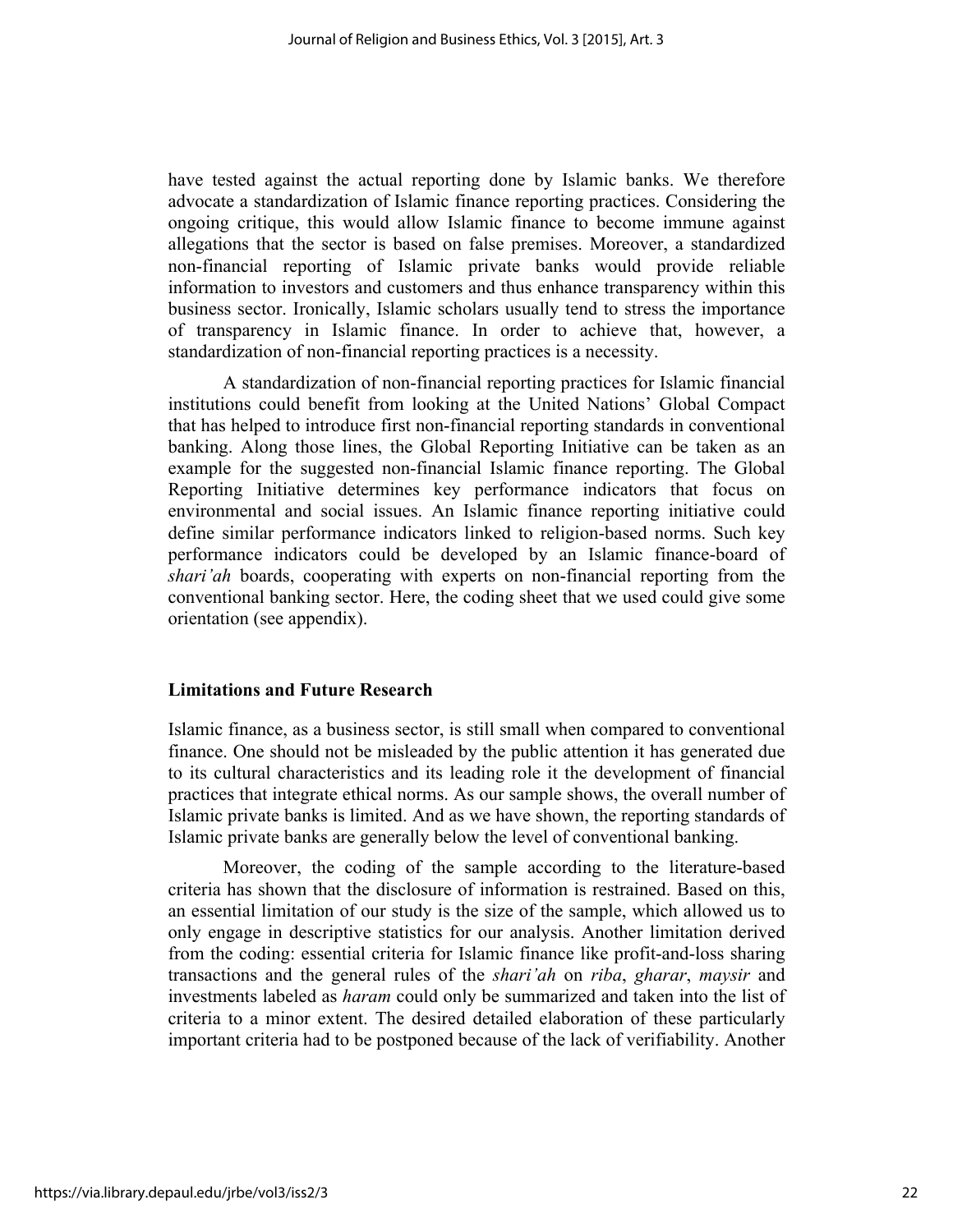have tested against the actual reporting done by Islamic banks. We therefore advocate a standardization of Islamic finance reporting practices. Considering the ongoing critique, this would allow Islamic finance to become immune against allegations that the sector is based on false premises. Moreover, a standardized non-financial reporting of Islamic private banks would provide reliable information to investors and customers and thus enhance transparency within this business sector. Ironically, Islamic scholars usually tend to stress the importance of transparency in Islamic finance. In order to achieve that, however, a standardization of non-financial reporting practices is a necessity.

A standardization of non-financial reporting practices for Islamic financial institutions could benefit from looking at the United Nations' Global Compact that has helped to introduce first non-financial reporting standards in conventional banking. Along those lines, the Global Reporting Initiative can be taken as an example for the suggested non-financial Islamic finance reporting. The Global Reporting Initiative determines key performance indicators that focus on environmental and social issues. An Islamic finance reporting initiative could define similar performance indicators linked to religion-based norms. Such key performance indicators could be developed by an Islamic finance-board of *shari'ah* boards, cooperating with experts on non-financial reporting from the conventional banking sector. Here, the coding sheet that we used could give some orientation (see appendix).

# **Limitations and Future Research**

Islamic finance, as a business sector, is still small when compared to conventional finance. One should not be misleaded by the public attention it has generated due to its cultural characteristics and its leading role it the development of financial practices that integrate ethical norms. As our sample shows, the overall number of Islamic private banks is limited. And as we have shown, the reporting standards of Islamic private banks are generally below the level of conventional banking.

Moreover, the coding of the sample according to the literature-based criteria has shown that the disclosure of information is restrained. Based on this, an essential limitation of our study is the size of the sample, which allowed us to only engage in descriptive statistics for our analysis. Another limitation derived from the coding: essential criteria for Islamic finance like profit-and-loss sharing transactions and the general rules of the *shari'ah* on *riba*, *gharar*, *maysir* and investments labeled as *haram* could only be summarized and taken into the list of criteria to a minor extent. The desired detailed elaboration of these particularly important criteria had to be postponed because of the lack of verifiability. Another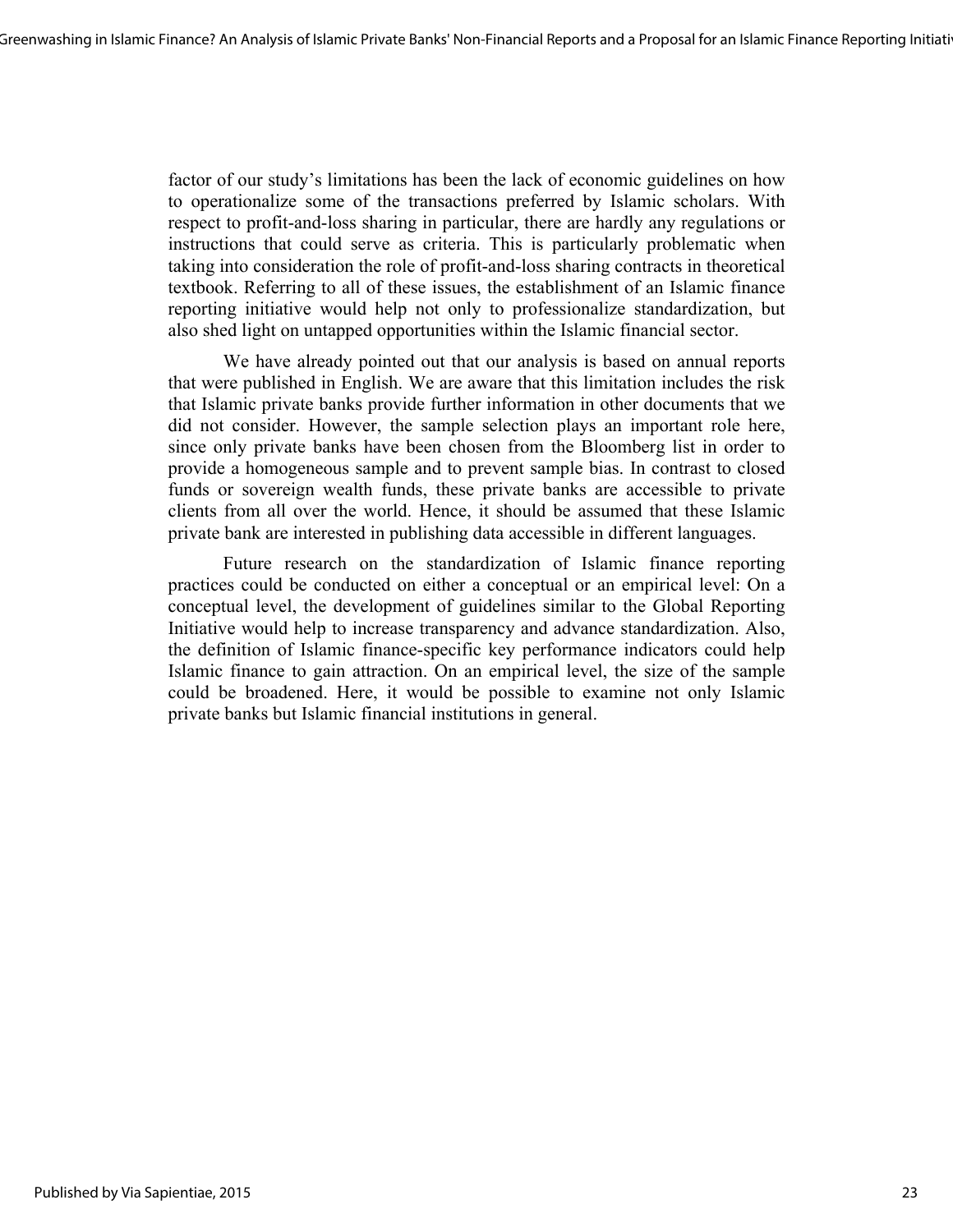factor of our study's limitations has been the lack of economic guidelines on how to operationalize some of the transactions preferred by Islamic scholars. With respect to profit-and-loss sharing in particular, there are hardly any regulations or instructions that could serve as criteria. This is particularly problematic when taking into consideration the role of profit-and-loss sharing contracts in theoretical textbook. Referring to all of these issues, the establishment of an Islamic finance reporting initiative would help not only to professionalize standardization, but also shed light on untapped opportunities within the Islamic financial sector.

We have already pointed out that our analysis is based on annual reports that were published in English. We are aware that this limitation includes the risk that Islamic private banks provide further information in other documents that we did not consider. However, the sample selection plays an important role here, since only private banks have been chosen from the Bloomberg list in order to provide a homogeneous sample and to prevent sample bias. In contrast to closed funds or sovereign wealth funds, these private banks are accessible to private clients from all over the world. Hence, it should be assumed that these Islamic private bank are interested in publishing data accessible in different languages.

Future research on the standardization of Islamic finance reporting practices could be conducted on either a conceptual or an empirical level: On a conceptual level, the development of guidelines similar to the Global Reporting Initiative would help to increase transparency and advance standardization. Also, the definition of Islamic finance-specific key performance indicators could help Islamic finance to gain attraction. On an empirical level, the size of the sample could be broadened. Here, it would be possible to examine not only Islamic private banks but Islamic financial institutions in general.